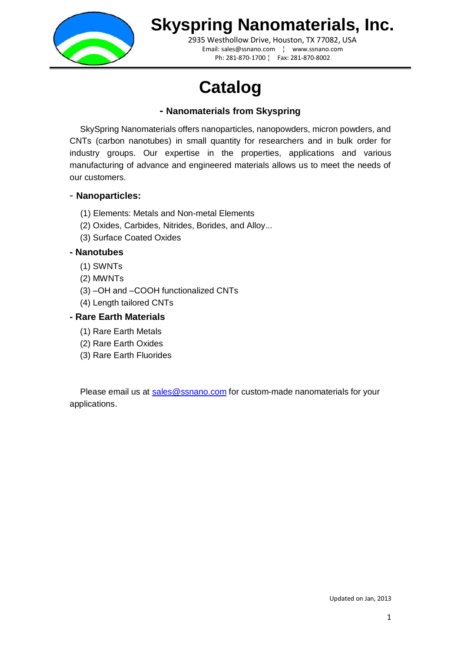

2935 Westhollow Drive, Houston, TX 77082, USA Email: sales@ssnano.com ¦ www.ssnano.com Ph: 281-870-1700 ¦ Fax: 281-870-8002

# **Catalog**

#### **- Nanomaterials from Skyspring**

SkySpring Nanomaterials offers nanoparticles, nanopowders, micron powders, and CNTs (carbon nanotubes) in small quantity for researchers and in bulk order for industry groups. Our expertise in the properties, applications and various manufacturing of advance and engineered materials allows us to meet the needs of our customers.

#### - **Nanoparticles:**

- (1) Elements: Metals and Non-metal Elements
- (2) Oxides, Carbides, Nitrides, Borides, and Alloy...
- (3) Surface Coated Oxides

#### **- Nanotubes**

- (1) SWNTs
- (2) MWNTs
- (3) –OH and –COOH functionalized CNTs
- (4) Length tailored CNTs

#### **- Rare Earth Materials**

- (1) Rare Earth Metals
- (2) Rare Earth Oxides
- (3) Rare Earth Fluorides

Please email us at [sales@ssnano.com](mailto:sales@ssnano.com) for custom-made nanomaterials for your applications.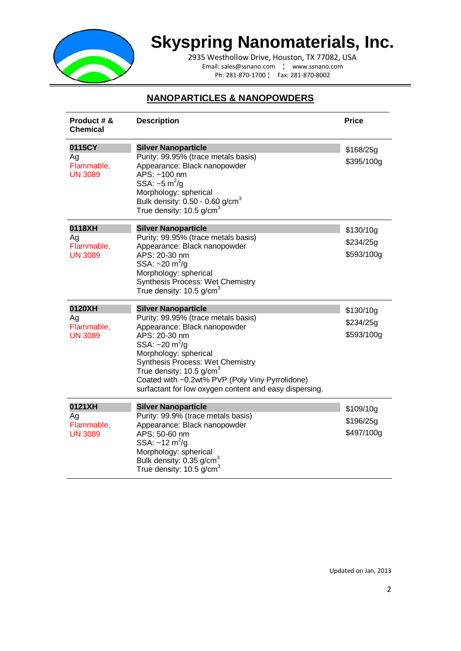

2935 Westhollow Drive, Houston, TX 77082, USA Email: sales@ssnano.com ¦ www.ssnano.com Ph: 281-870-1700 ¦ Fax: 281-870-8002

#### **NANOPARTICLES & NANOPOWDERS**

| Product # &<br>Chemical                      | <b>Description</b>                                                                                                                                                                                                                                                                                                                                                         | <b>Price</b>                         |
|----------------------------------------------|----------------------------------------------------------------------------------------------------------------------------------------------------------------------------------------------------------------------------------------------------------------------------------------------------------------------------------------------------------------------------|--------------------------------------|
| 0115CY<br>Ag<br>Flammable,<br><b>UN 3089</b> | <b>Silver Nanoparticle</b><br>Purity: 99.95% (trace metals basis)<br>Appearance: Black nanopowder<br>APS: ~100 nm<br>SSA: $\sim$ 5 m <sup>2</sup> /g<br>Morphology: spherical<br>Bulk density: $0.50 - 0.60$ g/cm <sup>3</sup><br>True density: $10.5$ g/cm <sup>3</sup>                                                                                                   | \$168/25g<br>\$395/100g              |
| 0118XH<br>Ag<br>Flammable,<br><b>UN 3089</b> | <b>Silver Nanoparticle</b><br>Purity: 99.95% (trace metals basis)<br>Appearance: Black nanopowder<br>APS: 20-30 nm<br>SSA: $\sim$ 20 m <sup>2</sup> /g<br>Morphology: spherical<br>Synthesis Process: Wet Chemistry<br>True density: $10.5$ g/cm <sup>3</sup>                                                                                                              | \$130/10g<br>\$234/25g<br>\$593/100g |
| 0120XH<br>Ag<br>Flammable,<br><b>UN 3089</b> | <b>Silver Nanoparticle</b><br>Purity: 99.95% (trace metals basis)<br>Appearance: Black nanopowder<br>APS: 20-30 nm<br>SSA: $\sim$ 20 m <sup>2</sup> /g<br>Morphology: spherical<br>Synthesis Process: Wet Chemistry<br>True density: $10.5$ g/cm <sup>3</sup><br>Coated with ~0.2wt% PVP (Poly Viny Pyrrolidone)<br>surfactant for low oxygen content and easy dispersing. | \$130/10g<br>\$234/25g<br>\$593/100g |
| 0121XH<br>Ag<br>Flammable,<br><b>UN 3089</b> | <b>Silver Nanoparticle</b><br>Purity: 99.9% (trace metals basis)<br>Appearance: Black nanopowder<br>APS: 50-60 nm<br>SSA: $\sim$ 12 m <sup>2</sup> /g<br>Morphology: spherical<br>Bulk density: 0.35 g/cm <sup>3</sup><br>True density: $10.5$ g/cm <sup>3</sup>                                                                                                           | \$109/10g<br>\$196/25g<br>\$497/100g |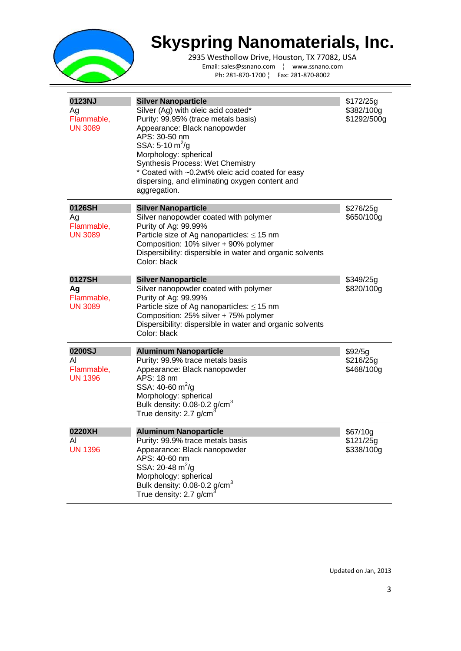

2935 Westhollow Drive, Houston, TX 77082, USA Email: sales@ssnano.com ¦ www.ssnano.com Ph: 281-870-1700 ¦ Fax: 281-870-8002

| 0123NJ<br>Ag<br>Flammable,<br><b>UN 3089</b> | <b>Silver Nanoparticle</b><br>Silver (Ag) with oleic acid coated*<br>Purity: 99.95% (trace metals basis)<br>Appearance: Black nanopowder<br>APS: 30-50 nm<br>SSA: 5-10 $m^2/q$<br>Morphology: spherical<br>Synthesis Process: Wet Chemistry<br>* Coated with ~0.2wt% oleic acid coated for easy<br>dispersing, and eliminating oxygen content and<br>aggregation. | \$172/25g<br>\$382/100g<br>\$1292/500g |
|----------------------------------------------|-------------------------------------------------------------------------------------------------------------------------------------------------------------------------------------------------------------------------------------------------------------------------------------------------------------------------------------------------------------------|----------------------------------------|
| 0126SH<br>Ag<br>Flammable,<br><b>UN 3089</b> | <b>Silver Nanoparticle</b><br>Silver nanopowder coated with polymer<br>Purity of Ag: 99.99%<br>Particle size of Ag nanoparticles: $\leq$ 15 nm<br>Composition: 10% silver + 90% polymer<br>Dispersibility: dispersible in water and organic solvents<br>Color: black                                                                                              | \$276/25g<br>\$650/100g                |
| 0127SH<br>Ag<br>Flammable,<br><b>UN 3089</b> | <b>Silver Nanoparticle</b><br>Silver nanopowder coated with polymer<br>Purity of Ag: 99.99%<br>Particle size of Ag nanoparticles: $\leq$ 15 nm<br>Composition: 25% silver + 75% polymer<br>Dispersibility: dispersible in water and organic solvents<br>Color: black                                                                                              | \$349/25g<br>\$820/100g                |
| 0200SJ<br>ΑI<br>Flammable,<br><b>UN 1396</b> | <b>Aluminum Nanoparticle</b><br>Purity: 99.9% trace metals basis<br>Appearance: Black nanopowder<br>APS: 18 nm<br>SSA: 40-60 $m^2$ /g<br>Morphology: spherical<br>Bulk density: $0.08$ -0.2 g/cm <sup>3</sup><br>True density: 2.7 g/cm                                                                                                                           | \$92/5g<br>\$216/25g<br>\$468/100g     |
| 0220XH<br>AI.<br><b>UN 1396</b>              | <b>Aluminum Nanoparticle</b><br>Purity: 99.9% trace metals basis<br>Appearance: Black nanopowder<br>APS: 40-60 nm<br>SSA: 20-48 $m^2/g$<br>Morphology: spherical<br>Bulk density: $0.08$ -0.2 g/cm <sup>3</sup><br>True density: 2.7 g/cm <sup>3</sup>                                                                                                            | \$67/10g<br>\$121/25g<br>\$338/100g    |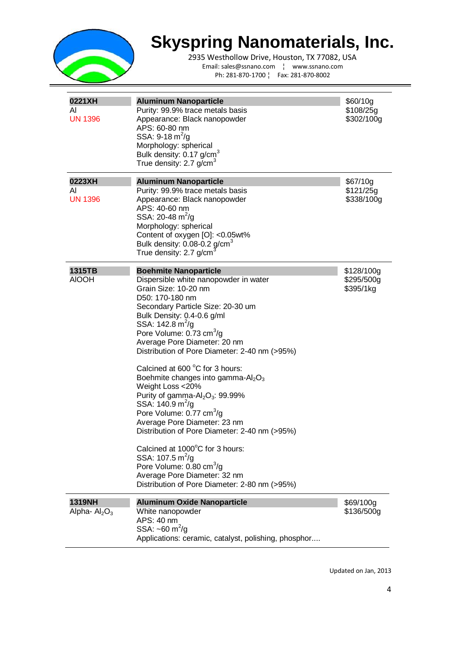

2935 Westhollow Drive, Houston, TX 77082, USA Email: sales@ssnano.com ¦ www.ssnano.com Ph: 281-870-1700 ¦ Fax: 281-870-8002

| 0221XH<br>ΑI<br><b>UN 1396</b>                  | <b>Aluminum Nanoparticle</b><br>Purity: 99.9% trace metals basis<br>Appearance: Black nanopowder<br>APS: 60-80 nm<br>SSA: $9-18 \text{ m}^2/\text{g}$<br>Morphology: spherical<br>Bulk density: 0.17 g/cm <sup>3</sup><br>True density: 2.7 g/cm <sup>3</sup>                                                                                                                                                                                                                                                                                                                                                                                                                                                                                                                                                                                                                          | \$60/10g<br>\$108/25g<br>\$302/100g   |
|-------------------------------------------------|----------------------------------------------------------------------------------------------------------------------------------------------------------------------------------------------------------------------------------------------------------------------------------------------------------------------------------------------------------------------------------------------------------------------------------------------------------------------------------------------------------------------------------------------------------------------------------------------------------------------------------------------------------------------------------------------------------------------------------------------------------------------------------------------------------------------------------------------------------------------------------------|---------------------------------------|
| 0223XH<br>ΑI<br><b>UN 1396</b>                  | <b>Aluminum Nanoparticle</b><br>Purity: 99.9% trace metals basis<br>Appearance: Black nanopowder<br>APS: 40-60 nm<br>SSA: $20-48 \text{ m}^2/\text{g}$<br>Morphology: spherical<br>Content of oxygen [O]: < 0.05wt%<br>Bulk density: $0.08$ -0.2 g/cm <sup>3</sup><br>True density: 2.7 g/cm                                                                                                                                                                                                                                                                                                                                                                                                                                                                                                                                                                                           | \$67/10g<br>\$121/25g<br>\$338/100g   |
| 1315TB<br><b>AIOOH</b>                          | <b>Boehmite Nanoparticle</b><br>Dispersible white nanopowder in water<br>Grain Size: 10-20 nm<br>D50: 170-180 nm<br>Secondary Particle Size: 20-30 um<br>Bulk Density: 0.4-0.6 g/ml<br>SSA: 142.8 m <sup>2</sup> /g<br>Pore Volume: 0.73 cm <sup>3</sup> /g<br>Average Pore Diameter: 20 nm<br>Distribution of Pore Diameter: 2-40 nm (>95%)<br>Calcined at 600 °C for 3 hours:<br>Boehmite changes into gamma-Al <sub>2</sub> O <sub>3</sub><br>Weight Loss <20%<br>Purity of gamma-Al <sub>2</sub> O <sub>3</sub> : 99.99%<br>SSA: 140.9 m <sup>2</sup> /g<br>Pore Volume: 0.77 cm <sup>3</sup> /g<br>Average Pore Diameter: 23 nm<br>Distribution of Pore Diameter: 2-40 nm (>95%)<br>Calcined at 1000°C for 3 hours:<br>SSA: $107.5 \text{ m}^2/\text{g}$<br>Pore Volume: 0.80 cm <sup>3</sup> /g<br>Average Pore Diameter: 32 nm<br>Distribution of Pore Diameter: 2-80 nm (>95%) | \$128/100g<br>\$295/500g<br>\$395/1kg |
| <b>1319NH</b><br>Alpha- $\text{Al}_2\text{O}_3$ | <b>Aluminum Oxide Nanoparticle</b><br>White nanopowder<br>APS: 40 nm<br>SSA: $\sim 60 \text{ m}^2/\text{g}$<br>Applications: ceramic, catalyst, polishing, phosphor                                                                                                                                                                                                                                                                                                                                                                                                                                                                                                                                                                                                                                                                                                                    | \$69/100g<br>\$136/500g               |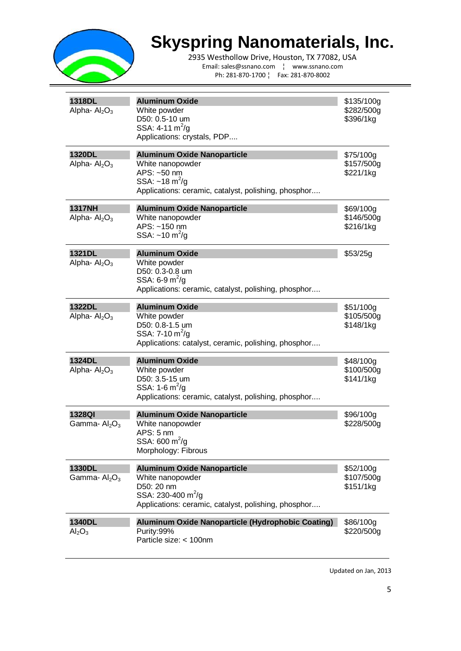

2935 Westhollow Drive, Houston, TX 77082, USA Email: sales@ssnano.com ¦ www.ssnano.com Ph: 281-870-1700 ¦ Fax: 281-870-8002

| 1318DL<br>Alpha- $\text{Al}_2\text{O}_3$        | <b>Aluminum Oxide</b><br>White powder<br>D50: 0.5-10 um<br>SSA: $4-11 \text{ m}^2/\text{g}$<br>Applications: crystals, PDP                                        | \$135/100g<br>\$282/500g<br>\$396/1kg |
|-------------------------------------------------|-------------------------------------------------------------------------------------------------------------------------------------------------------------------|---------------------------------------|
| 1320DL<br>Alpha- $\text{Al}_2\text{O}_3$        | <b>Aluminum Oxide Nanoparticle</b><br>White nanopowder<br>APS: ~50 nm<br>SSA: $\sim$ 18 m <sup>2</sup> /g<br>Applications: ceramic, catalyst, polishing, phosphor | \$75/100g<br>\$157/500g<br>\$221/1kg  |
| <b>1317NH</b><br>Alpha- $\text{Al}_2\text{O}_3$ | <b>Aluminum Oxide Nanoparticle</b><br>White nanopowder<br>APS: ~150 nm<br>SSA: $\sim$ 10 m <sup>2</sup> /g                                                        | \$69/100g<br>\$146/500g<br>\$216/1kg  |
| 1321DL<br>Alpha- $\text{Al}_2\text{O}_3$        | <b>Aluminum Oxide</b><br>White powder<br>D50: 0.3-0.8 um<br>SSA: 6-9 $m^2/g$<br>Applications: ceramic, catalyst, polishing, phosphor                              | \$53/25g                              |
| <b>1322DL</b><br>Alpha- $Al2O3$                 | <b>Aluminum Oxide</b><br>White powder<br>D50: 0.8-1.5 um<br>SSA: 7-10 $m^2/g$<br>Applications: catalyst, ceramic, polishing, phosphor                             | \$51/100g<br>\$105/500g<br>\$148/1kg  |
| 1324DL<br>Alpha- $Al_2O_3$                      | <b>Aluminum Oxide</b><br>White powder<br>D50: 3.5-15 um<br>SSA: 1-6 $m^2/g$<br>Applications: ceramic, catalyst, polishing, phosphor                               | \$48/100g<br>\$100/500g<br>\$141/1kg  |
| 1328QI<br>Gamma- $Al2O3$                        | <b>Aluminum Oxide Nanoparticle</b><br>White nanopowder<br>APS: 5 nm<br>SSA: 600 m <sup>2</sup> /g<br>Morphology: Fibrous                                          | \$96/100g<br>\$228/500g               |
| 1330DL<br>Gamma- $Al2O3$                        | <b>Aluminum Oxide Nanoparticle</b><br>White nanopowder<br>D50: 20 nm<br>SSA: 230-400 m <sup>2</sup> /g<br>Applications: ceramic, catalyst, polishing, phosphor    | \$52/100q<br>\$107/500g<br>\$151/1kg  |
| 1340DL<br>$\text{Al}_2\text{O}_3$               | Aluminum Oxide Nanoparticle (Hydrophobic Coating)<br>Purity:99%<br>Particle size: < 100nm                                                                         | \$86/100g<br>\$220/500g               |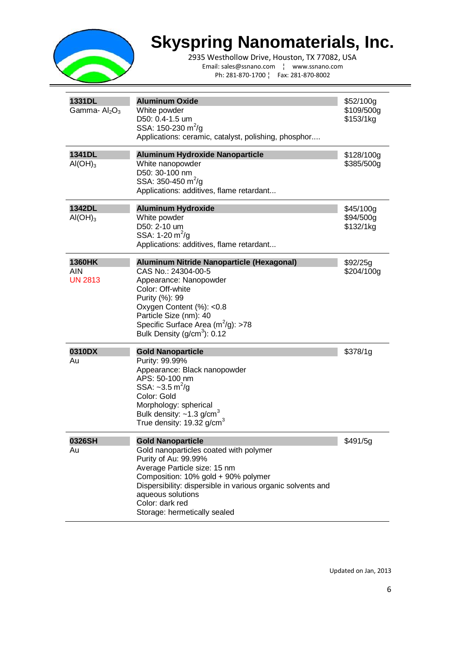

2935 Westhollow Drive, Houston, TX 77082, USA Email: sales@ssnano.com ¦ www.ssnano.com Ph: 281-870-1700 ¦ Fax: 281-870-8002

| 1331DL<br>Gamma- $Al2O3$                      | <b>Aluminum Oxide</b><br>White powder<br>D50: 0.4-1.5 um<br>SSA: 150-230 m <sup>2</sup> /g<br>Applications: ceramic, catalyst, polishing, phosphor                                                                                                                                                       | \$52/100g<br>\$109/500g<br>\$153/1kg |
|-----------------------------------------------|----------------------------------------------------------------------------------------------------------------------------------------------------------------------------------------------------------------------------------------------------------------------------------------------------------|--------------------------------------|
| 1341DL<br>AI(OH) <sub>3</sub>                 | <b>Aluminum Hydroxide Nanoparticle</b><br>White nanopowder<br>D50: 30-100 nm<br>SSA: 350-450 $m^2$ /g<br>Applications: additives, flame retardant                                                                                                                                                        | \$128/100g<br>\$385/500g             |
| 1342DL<br>AI(OH) <sub>3</sub>                 | <b>Aluminum Hydroxide</b><br>White powder<br>D50: 2-10 um<br>SSA: 1-20 $m^2/g$<br>Applications: additives, flame retardant                                                                                                                                                                               | \$45/100g<br>\$94/500g<br>\$132/1kg  |
| <b>1360HK</b><br><b>AIN</b><br><b>UN 2813</b> | Aluminum Nitride Nanoparticle (Hexagonal)<br>CAS No.: 24304-00-5<br>Appearance: Nanopowder<br>Color: Off-white<br>Purity (%): 99<br>Oxygen Content (%): <0.8<br>Particle Size (nm): 40<br>Specific Surface Area $(m^2/g)$ : >78<br>Bulk Density (g/cm <sup>3</sup> ): 0.12                               | \$92/25g<br>\$204/100g               |
| 0310DX<br>Au                                  | <b>Gold Nanoparticle</b><br>Purity: 99.99%<br>Appearance: Black nanopowder<br>APS: 50-100 nm<br>SSA: $\sim$ 3.5 m <sup>2</sup> /g<br>Color: Gold<br>Morphology: spherical<br>Bulk density: $\sim$ 1.3 g/cm <sup>3</sup><br>True density: $19.32$ g/cm <sup>3</sup>                                       | \$378/1g                             |
| 0326SH<br>Au                                  | <b>Gold Nanoparticle</b><br>Gold nanoparticles coated with polymer<br>Purity of Au: 99.99%<br>Average Particle size: 15 nm<br>Composition: 10% gold + 90% polymer<br>Dispersibility: dispersible in various organic solvents and<br>aqueous solutions<br>Color: dark red<br>Storage: hermetically sealed | \$491/5g                             |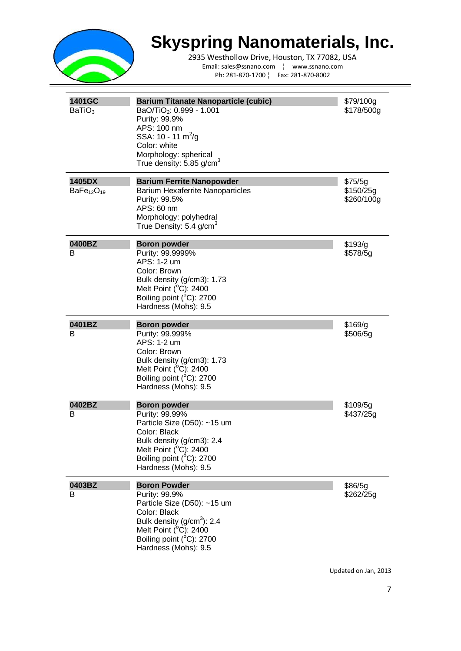

2935 Westhollow Drive, Houston, TX 77082, USA Email: sales@ssnano.com ¦ www.ssnano.com Ph: 281-870-1700 ¦ Fax: 281-870-8002

| 1401GC<br>BaTiO <sub>3</sub> | <b>Barium Titanate Nanoparticle (cubic)</b><br>BaO/TiO <sub>2</sub> : 0.999 - 1.001<br>Purity: 99.9%<br>APS: 100 nm<br>SSA: 10 - 11 m <sup>2</sup> /g<br>Color: white<br>Morphology: spherical<br>True density: $5.85$ g/cm <sup>3</sup> | \$79/100g<br>\$178/500g            |
|------------------------------|------------------------------------------------------------------------------------------------------------------------------------------------------------------------------------------------------------------------------------------|------------------------------------|
| 1405DX<br>$BaFe_{12}O_{19}$  | <b>Barium Ferrite Nanopowder</b><br><b>Barium Hexaferrite Nanoparticles</b><br>Purity: 99.5%<br>APS: 60 nm<br>Morphology: polyhedral<br>True Density: 5.4 g/cm <sup>3</sup>                                                              | \$75/5g<br>\$150/25g<br>\$260/100g |
| 0400BZ<br>В                  | <b>Boron powder</b><br>Purity: 99.9999%<br>APS: 1-2 um<br>Color: Brown<br>Bulk density (g/cm3): 1.73<br>Melt Point (°C): 2400<br>Boiling point (°C): 2700<br>Hardness (Mohs): 9.5                                                        | \$193/g<br>\$578/5g                |
| 0401BZ<br>В                  | <b>Boron powder</b><br>Purity: 99.999%<br>APS: 1-2 um<br>Color: Brown<br>Bulk density (g/cm3): 1.73<br>Melt Point $(^{\circ}C)$ : 2400<br>Boiling point (°C): 2700<br>Hardness (Mohs): 9.5                                               | \$169/g<br>\$506/5g                |
| 0402BZ<br>В                  | <b>Boron powder</b><br>Purity: 99.99%<br>Particle Size (D50): ~15 um<br>Color: Black<br>Bulk density (g/cm3): 2.4<br>Melt Point (°C): 2400<br>Boiling point (°C): 2700<br>Hardness (Mohs): 9.5                                           | \$109/5g<br>\$437/25g              |
| 0403BZ<br>B                  | <b>Boron Powder</b><br>Purity: 99.9%<br>Particle Size (D50): ~15 um<br>Color: Black<br>Bulk density $(g/cm3)$ : 2.4<br>Melt Point (°C): 2400<br>Boiling point (°C): 2700<br>Hardness (Mohs): 9.5                                         | \$86/5g<br>\$262/25g               |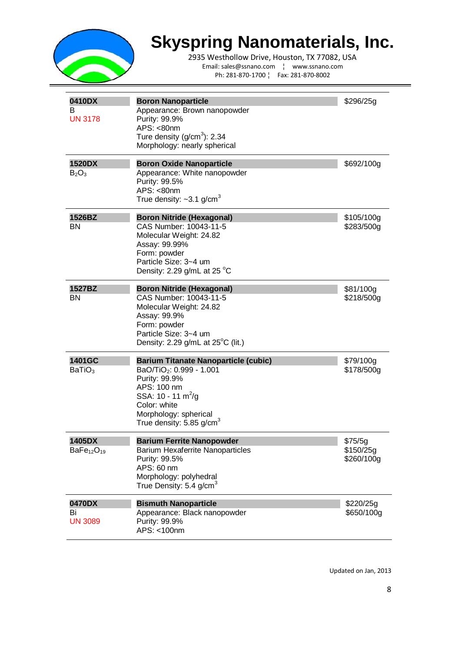

2935 Westhollow Drive, Houston, TX 77082, USA Email: sales@ssnano.com ¦ www.ssnano.com Ph: 281-870-1700 ¦ Fax: 281-870-8002

| 0410DX<br>В<br><b>UN 3178</b>  | <b>Boron Nanoparticle</b><br>Appearance: Brown nanopowder<br>Purity: 99.9%<br>APS: <80nm<br>Ture density (g/cm <sup>3</sup> ): 2.34<br>Morphology: nearly spherical                                                                | \$296/25g                          |
|--------------------------------|------------------------------------------------------------------------------------------------------------------------------------------------------------------------------------------------------------------------------------|------------------------------------|
| <b>1520DX</b><br>$B_2O_3$      | <b>Boron Oxide Nanoparticle</b><br>Appearance: White nanopowder<br>Purity: 99.5%<br>APS: <80nm<br>True density: $\sim$ 3.1 g/cm <sup>3</sup>                                                                                       | \$692/100g                         |
| 1526BZ<br>BN                   | <b>Boron Nitride (Hexagonal)</b><br>CAS Number: 10043-11-5<br>Molecular Weight: 24.82<br>Assay: 99.99%<br>Form: powder<br>Particle Size: 3~4 um<br>Density: 2.29 g/mL at 25 $^{\circ}$ C                                           | \$105/100g<br>\$283/500g           |
| 1527BZ<br><b>BN</b>            | <b>Boron Nitride (Hexagonal)</b><br>CAS Number: 10043-11-5<br>Molecular Weight: 24.82<br>Assay: 99.9%<br>Form: powder<br>Particle Size: 3~4 um<br>Density: 2.29 g/mL at $25^{\circ}$ C (lit.)                                      | \$81/100g<br>\$218/500g            |
| 1401GC<br>BaTiO <sub>3</sub>   | <b>Barium Titanate Nanoparticle (cubic)</b><br>BaO/TiO <sub>2</sub> : 0.999 - 1.001<br>Purity: 99.9%<br>APS: 100 nm<br>SSA: $10 - 11 \text{ m}^2/\text{g}$<br>Color: white<br>Morphology: spherical<br>True density: 5.85 g/cm $3$ | \$79/100g<br>\$178/500g            |
| 1405DX<br>$BaFe_{12}O_{19}$    | <b>Barium Ferrite Nanopowder</b><br><b>Barium Hexaferrite Nanoparticles</b><br>Purity: 99.5%<br>APS: 60 nm<br>Morphology: polyhedral<br>True Density: $5.4$ g/cm <sup>3</sup>                                                      | \$75/5g<br>\$150/25g<br>\$260/100g |
| 0470DX<br>Bi<br><b>UN 3089</b> | <b>Bismuth Nanoparticle</b><br>Appearance: Black nanopowder<br>Purity: 99.9%<br>APS: <100nm                                                                                                                                        | \$220/25g<br>\$650/100g            |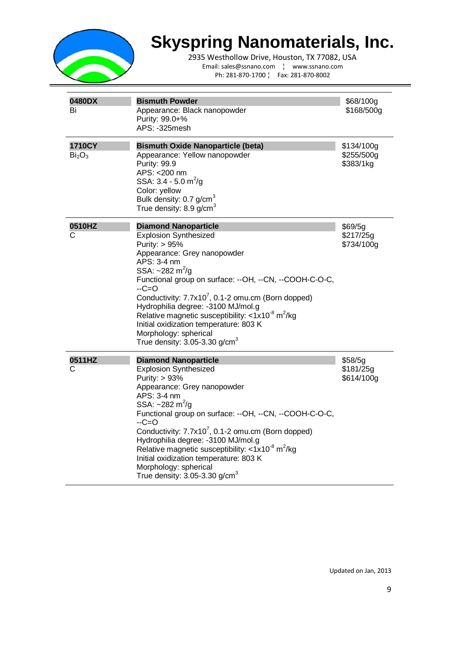

2935 Westhollow Drive, Houston, TX 77082, USA Email: sales@ssnano.com ¦ www.ssnano.com Ph: 281-870-1700 ¦ Fax: 281-870-8002

| 0480DX<br>Bi                             | <b>Bismuth Powder</b><br>Appearance: Black nanopowder<br>Purity: 99.0+%<br>APS: -325mesh                                                                                                                                                                                                                                                                                                                                                                                                                                                              | \$68/100g<br>\$168/500g               |
|------------------------------------------|-------------------------------------------------------------------------------------------------------------------------------------------------------------------------------------------------------------------------------------------------------------------------------------------------------------------------------------------------------------------------------------------------------------------------------------------------------------------------------------------------------------------------------------------------------|---------------------------------------|
| 1710CY<br>Bi <sub>2</sub> O <sub>3</sub> | <b>Bismuth Oxide Nanoparticle (beta)</b><br>Appearance: Yellow nanopowder<br>Purity: 99.9<br>APS: < 200 nm<br>SSA: $3.4 - 5.0$ m <sup>2</sup> /g<br>Color: yellow<br>Bulk density: 0.7 g/cm <sup>3</sup><br>True density: $8.9$ g/cm <sup>3</sup>                                                                                                                                                                                                                                                                                                     | \$134/100g<br>\$255/500g<br>\$383/1kg |
| 0510HZ<br>С                              | <b>Diamond Nanoparticle</b><br><b>Explosion Synthesized</b><br>Purity: > 95%<br>Appearance: Grey nanopowder<br>APS: 3-4 nm<br>SSA: $\sim$ 282 m <sup>2</sup> /g<br>Functional group on surface: --OH, --CN, --COOH-C-O-C,<br>$-C=O$<br>Conductivity: 7.7x10 <sup>7</sup> , 0.1-2 omu.cm (Born dopped)<br>Hydrophilia degree: -3100 MJ/mol.g<br>Relative magnetic susceptibility: $\langle 1x10^8 \text{ m}^2/\text{kg} \rangle$<br>Initial oxidization temperature: 803 K<br>Morphology: spherical<br>True density: $3.05$ - $3.30$ g/cm <sup>3</sup> | \$69/5g<br>\$217/25g<br>\$734/100g    |
| 0511HZ<br>С                              | <b>Diamond Nanoparticle</b><br><b>Explosion Synthesized</b><br>Purity: > 93%<br>Appearance: Grey nanopowder<br>APS: 3-4 nm<br>SSA: ~282 m <sup>2</sup> /g<br>Functional group on surface: --OH, --CN, --COOH-C-O-C,<br>$-C=O$<br>Conductivity: 7.7x10 <sup>7</sup> , 0.1-2 omu.cm (Born dopped)<br>Hydrophilia degree: -3100 MJ/mol.g<br>Relative magnetic susceptibility: $\langle 1x10^{-8} \text{ m}^2/\text{kg} \rangle$<br>Initial oxidization temperature: 803 K<br>Morphology: spherical<br>True density: $3.05 - 3.30$ g/cm <sup>3</sup>      | \$58/5g<br>\$181/25g<br>\$614/100g    |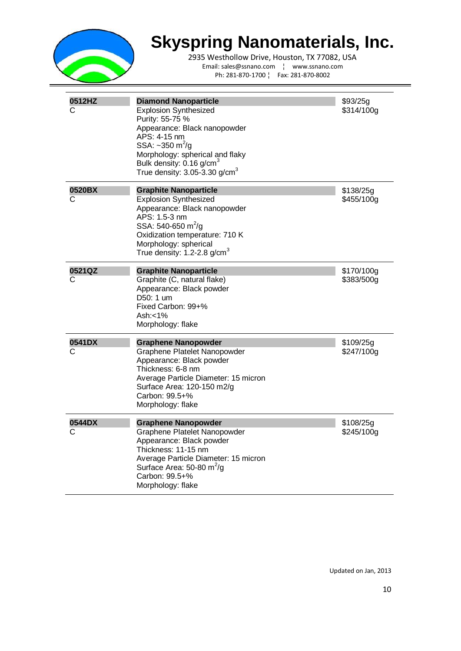

| 0512HZ<br>C | <b>Diamond Nanoparticle</b><br><b>Explosion Synthesized</b><br>Purity: 55-75 %<br>Appearance: Black nanopowder<br>APS: 4-15 nm<br>SSA: $\sim$ 350 m <sup>2</sup> /g<br>Morphology: spherical and flaky<br>Bulk density: 0.16 g/cm <sup>3</sup><br>True density: $3.05 - 3.30$ g/cm <sup>3</sup> | \$93/25g<br>\$314/100g   |
|-------------|-------------------------------------------------------------------------------------------------------------------------------------------------------------------------------------------------------------------------------------------------------------------------------------------------|--------------------------|
| 0520BX<br>C | <b>Graphite Nanoparticle</b><br><b>Explosion Synthesized</b><br>Appearance: Black nanopowder<br>APS: 1.5-3 nm<br>SSA: 540-650 m <sup>2</sup> /g<br>Oxidization temperature: 710 K<br>Morphology: spherical<br>True density: 1.2-2.8 g/cm $3$                                                    | \$138/25g<br>\$455/100g  |
| 0521QZ<br>C | <b>Graphite Nanoparticle</b><br>Graphite (C, natural flake)<br>Appearance: Black powder<br>D50: 1 um<br>Fixed Carbon: 99+%<br>Ash: $<$ 1%<br>Morphology: flake                                                                                                                                  | \$170/100g<br>\$383/500g |
| 0541DX<br>С | <b>Graphene Nanopowder</b><br>Graphene Platelet Nanopowder<br>Appearance: Black powder<br>Thickness: 6-8 nm<br>Average Particle Diameter: 15 micron<br>Surface Area: 120-150 m2/g<br>Carbon: 99.5+%<br>Morphology: flake                                                                        | \$109/25g<br>\$247/100g  |
| 0544DX<br>С | <b>Graphene Nanopowder</b><br>Graphene Platelet Nanopowder<br>Appearance: Black powder<br>Thickness: 11-15 nm<br>Average Particle Diameter: 15 micron<br>Surface Area: 50-80 $m^2/q$<br>Carbon: 99.5+%<br>Morphology: flake                                                                     | \$108/25g<br>\$245/100g  |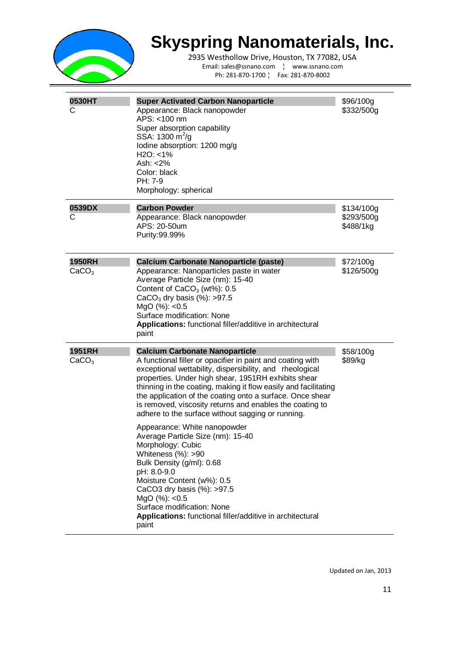

2935 Westhollow Drive, Houston, TX 77082, USA Email: sales@ssnano.com ¦ www.ssnano.com Ph: 281-870-1700 ¦ Fax: 281-870-8002

| 0530HT<br>С                        | <b>Super Activated Carbon Nanoparticle</b><br>Appearance: Black nanopowder<br>APS: <100 nm<br>Super absorption capability<br>SSA: 1300 m <sup>2</sup> /g<br>lodine absorption: 1200 mg/g<br>$H2O: < 1\%$<br>Ash: <2%<br>Color: black<br>PH: 7-9<br>Morphology: spherical                                                                                                                                                                                                                                                                                                                                                                                                                                                                                                                                                 | \$96/100g<br>\$332/500g               |
|------------------------------------|--------------------------------------------------------------------------------------------------------------------------------------------------------------------------------------------------------------------------------------------------------------------------------------------------------------------------------------------------------------------------------------------------------------------------------------------------------------------------------------------------------------------------------------------------------------------------------------------------------------------------------------------------------------------------------------------------------------------------------------------------------------------------------------------------------------------------|---------------------------------------|
| 0539DX<br>С                        | <b>Carbon Powder</b><br>Appearance: Black nanopowder<br>APS: 20-50um<br>Purity: 99.99%                                                                                                                                                                                                                                                                                                                                                                                                                                                                                                                                                                                                                                                                                                                                   | \$134/100g<br>\$293/500g<br>\$488/1kg |
| <b>1950RH</b><br>CaCO <sub>3</sub> | <b>Calcium Carbonate Nanoparticle (paste)</b><br>Appearance: Nanoparticles paste in water<br>Average Particle Size (nm): 15-40<br>Content of $CaCO3$ (wt%): $0.5$<br>CaCO <sub>3</sub> dry basis $(\%)$ : >97.5<br>MgO (%): <0.5<br>Surface modification: None<br>Applications: functional filler/additive in architectural<br>paint                                                                                                                                                                                                                                                                                                                                                                                                                                                                                     | \$72/100g<br>\$126/500g               |
| <b>1951RH</b><br>CaCO <sub>3</sub> | <b>Calcium Carbonate Nanoparticle</b><br>A functional filler or opacifier in paint and coating with<br>exceptional wettability, dispersibility, and rheological<br>properties. Under high shear, 1951RH exhibits shear<br>thinning in the coating, making it flow easily and facilitating<br>the application of the coating onto a surface. Once shear<br>is removed, viscosity returns and enables the coating to<br>adhere to the surface without sagging or running.<br>Appearance: White nanopowder<br>Average Particle Size (nm): 15-40<br>Morphology: Cubic<br>Whiteness $(\%)$ : >90<br>Bulk Density (g/ml): 0.68<br>pH: 8.0-9.0<br>Moisture Content (w%): 0.5<br>CaCO3 dry basis (%): >97.5<br>MgO (%): <0.5<br>Surface modification: None<br>Applications: functional filler/additive in architectural<br>paint | \$58/100g<br>\$89/kg                  |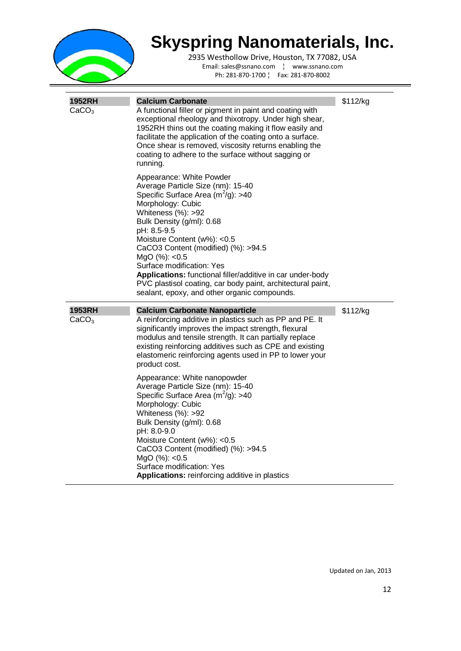

| <b>1952RH</b><br>CaCO <sub>3</sub> | <b>Calcium Carbonate</b><br>A functional filler or pigment in paint and coating with<br>exceptional rheology and thixotropy. Under high shear,<br>1952RH thins out the coating making it flow easily and<br>facilitate the application of the coating onto a surface.<br>Once shear is removed, viscosity returns enabling the<br>coating to adhere to the surface without sagging or<br>running.                                                                                                 | \$112/kg |
|------------------------------------|---------------------------------------------------------------------------------------------------------------------------------------------------------------------------------------------------------------------------------------------------------------------------------------------------------------------------------------------------------------------------------------------------------------------------------------------------------------------------------------------------|----------|
|                                    | Appearance: White Powder<br>Average Particle Size (nm): 15-40<br>Specific Surface Area $(m^2/g)$ : >40<br>Morphology: Cubic<br>Whiteness $(\%)$ : >92<br>Bulk Density (g/ml): 0.68<br>pH: 8.5-9.5<br>Moisture Content (w%): <0.5<br>CaCO3 Content (modified) (%): >94.5<br>MgO(%): <0.5<br>Surface modification: Yes<br>Applications: functional filler/additive in car under-body<br>PVC plastisol coating, car body paint, architectural paint,<br>sealant, epoxy, and other organic compounds. |          |
| <b>1953RH</b><br>CaCO <sub>3</sub> | <b>Calcium Carbonate Nanoparticle</b><br>A reinforcing additive in plastics such as PP and PE. It<br>significantly improves the impact strength, flexural<br>modulus and tensile strength. It can partially replace<br>existing reinforcing additives such as CPE and existing<br>elastomeric reinforcing agents used in PP to lower your<br>product cost.                                                                                                                                        | \$112/kg |
|                                    | Appearance: White nanopowder<br>Average Particle Size (nm): 15-40<br>Specific Surface Area $(m^2/g)$ : >40<br>Morphology: Cubic<br>Whiteness $(%): >92$<br>Bulk Density (g/ml): 0.68<br>pH: 8.0-9.0<br>Moisture Content (w%): <0.5<br>CaCO3 Content (modified) (%): >94.5<br>MgO (%): <0.5<br>Surface modification: Yes<br><b>Applications:</b> reinforcing additive in plastics                                                                                                                  |          |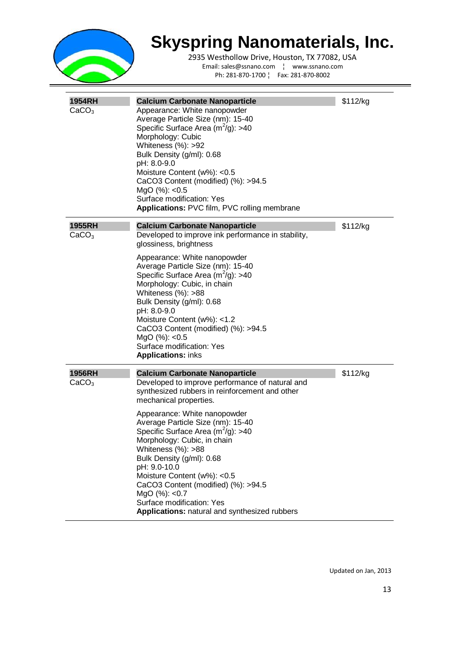

2935 Westhollow Drive, Houston, TX 77082, USA Email: sales@ssnano.com ¦ www.ssnano.com Ph: 281-870-1700 ¦ Fax: 281-870-8002

| <b>1954RH</b><br>CaCO <sub>3</sub> | <b>Calcium Carbonate Nanoparticle</b><br>Appearance: White nanopowder<br>Average Particle Size (nm): 15-40<br>Specific Surface Area $(m2/g)$ : >40<br>Morphology: Cubic<br>Whiteness $(\%)$ : >92<br>Bulk Density (g/ml): 0.68<br>pH: 8.0-9.0<br>Moisture Content (w%): <0.5<br>CaCO3 Content (modified) (%): >94.5<br>MgO (%): <0.5<br>Surface modification: Yes<br>Applications: PVC film, PVC rolling membrane | \$112/kg |
|------------------------------------|-------------------------------------------------------------------------------------------------------------------------------------------------------------------------------------------------------------------------------------------------------------------------------------------------------------------------------------------------------------------------------------------------------------------|----------|
| 1955RH<br>CaCO <sub>3</sub>        | <b>Calcium Carbonate Nanoparticle</b><br>Developed to improve ink performance in stability,<br>glossiness, brightness                                                                                                                                                                                                                                                                                             | \$112/kg |
|                                    | Appearance: White nanopowder<br>Average Particle Size (nm): 15-40<br>Specific Surface Area $(m^2/g)$ : >40<br>Morphology: Cubic, in chain<br>Whiteness $(\%)$ : >88<br>Bulk Density (g/ml): 0.68<br>pH: 8.0-9.0<br>Moisture Content (w%): <1.2<br>CaCO3 Content (modified) (%): >94.5<br>MgO (%): <0.5<br>Surface modification: Yes<br><b>Applications: inks</b>                                                  |          |
| <b>1956RH</b><br>CaCO <sub>3</sub> | <b>Calcium Carbonate Nanoparticle</b><br>Developed to improve performance of natural and<br>synthesized rubbers in reinforcement and other<br>mechanical properties.                                                                                                                                                                                                                                              | \$112/kg |
|                                    | Appearance: White nanopowder<br>Average Particle Size (nm): 15-40<br>Specific Surface Area $(m^2/g)$ : >40<br>Morphology: Cubic, in chain<br>Whiteness $(\%)$ : >88<br>Bulk Density (g/ml): 0.68<br>pH: 9.0-10.0<br>Moisture Content (w%): <0.5<br>CaCO3 Content (modified) (%): >94.5<br>MgO(%): <0.7<br>Surface modification: Yes<br>Applications: natural and synthesized rubbers                              |          |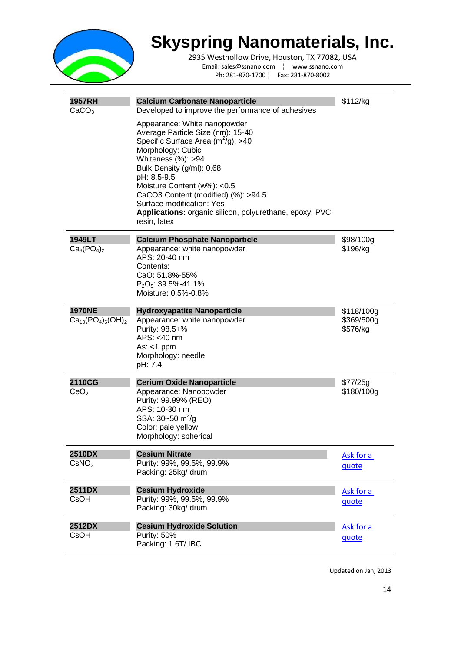

2935 Westhollow Drive, Houston, TX 77082, USA Email: sales@ssnano.com ¦ www.ssnano.com Ph: 281-870-1700 ¦ Fax: 281-870-8002

| <b>1957RH</b><br>CaCO <sub>3</sub>       | <b>Calcium Carbonate Nanoparticle</b><br>Developed to improve the performance of adhesives<br>Appearance: White nanopowder<br>Average Particle Size (nm): 15-40<br>Specific Surface Area $(m^2/g)$ : >40<br>Morphology: Cubic<br>Whiteness $(\%)$ : >94<br>Bulk Density (g/ml): 0.68<br>pH: 8.5-9.5<br>Moisture Content (w%): <0.5<br>CaCO3 Content (modified) (%): >94.5<br>Surface modification: Yes<br>Applications: organic silicon, polyurethane, epoxy, PVC<br>resin, latex | \$112/kg                             |
|------------------------------------------|-----------------------------------------------------------------------------------------------------------------------------------------------------------------------------------------------------------------------------------------------------------------------------------------------------------------------------------------------------------------------------------------------------------------------------------------------------------------------------------|--------------------------------------|
| 1949LT<br>$Ca_3(PO_4)_2$                 | <b>Calcium Phosphate Nanoparticle</b><br>Appearance: white nanopowder<br>APS: 20-40 nm<br>Contents:<br>CaO: 51.8%-55%<br>$P_2O_5$ : 39.5%-41.1%<br>Moisture: 0.5%-0.8%                                                                                                                                                                                                                                                                                                            | \$98/100g<br>\$196/kg                |
| <b>1970NE</b><br>$Ca_{10}(PO_4)_6(OH)_2$ | <b>Hydroxyapatite Nanoparticle</b><br>Appearance: white nanopowder<br>Purity: 98.5+%<br>APS: <40 nm<br>As: $<$ 1 ppm<br>Morphology: needle<br>pH: 7.4                                                                                                                                                                                                                                                                                                                             | \$118/100g<br>\$369/500g<br>\$576/kg |
| 2110CG<br>CeO <sub>2</sub>               | <b>Cerium Oxide Nanoparticle</b><br>Appearance: Nanopowder<br>Purity: 99.99% (REO)<br>APS: 10-30 nm<br>SSA: $30 - 50$ m <sup>2</sup> /g<br>Color: pale yellow<br>Morphology: spherical                                                                                                                                                                                                                                                                                            | \$77/25g<br>\$180/100g               |
| <b>2510DX</b><br>CSNO <sub>3</sub>       | <b>Cesium Nitrate</b><br>Purity: 99%, 99.5%, 99.9%<br>Packing: 25kg/ drum                                                                                                                                                                                                                                                                                                                                                                                                         | Ask for a<br>quote                   |
| <b>2511DX</b><br><b>CsOH</b>             | <b>Cesium Hydroxide</b><br>Purity: 99%, 99.5%, 99.9%<br>Packing: 30kg/ drum                                                                                                                                                                                                                                                                                                                                                                                                       | Ask for a<br>quote                   |
| 2512DX<br><b>CsOH</b>                    | <b>Cesium Hydroxide Solution</b><br>Purity: 50%<br>Packing: 1.6T/ IBC                                                                                                                                                                                                                                                                                                                                                                                                             | Ask for a<br>quote                   |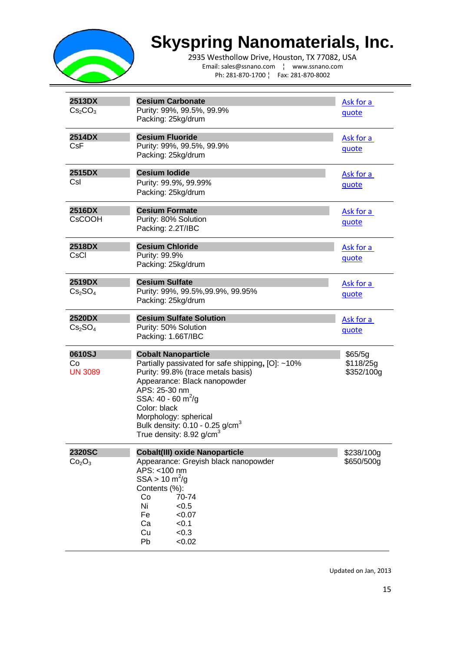

2935 Westhollow Drive, Houston, TX 77082, USA Email: sales@ssnano.com ¦ www.ssnano.com Ph: 281-870-1700 ¦ Fax: 281-870-8002

| 2513DX<br>Cs <sub>2</sub> CO <sub>3</sub>       | <b>Cesium Carbonate</b><br>Purity: 99%, 99.5%, 99.9%<br>Packing: 25kg/drum                                                                                                                                                                                                                                                        | Ask for a<br>quote                 |
|-------------------------------------------------|-----------------------------------------------------------------------------------------------------------------------------------------------------------------------------------------------------------------------------------------------------------------------------------------------------------------------------------|------------------------------------|
| 2514DX<br><b>CsF</b>                            | <b>Cesium Fluoride</b><br>Purity: 99%, 99.5%, 99.9%<br>Packing: 25kg/drum                                                                                                                                                                                                                                                         | Ask for a<br><u>quote</u>          |
| 2515DX<br>Csl                                   | <b>Cesium lodide</b><br>Purity: 99.9%, 99.99%<br>Packing: 25kg/drum                                                                                                                                                                                                                                                               | Ask for a<br>quote                 |
| 2516DX<br><b>CsCOOH</b>                         | <b>Cesium Formate</b><br>Purity: 80% Solution<br>Packing: 2.2T/IBC                                                                                                                                                                                                                                                                | Ask for a<br><u>quote</u>          |
| <b>2518DX</b><br>CsCl                           | <b>Cesium Chloride</b><br>Purity: 99.9%<br>Packing: 25kg/drum                                                                                                                                                                                                                                                                     | Ask for a<br>quote                 |
| 2519DX<br>Cs <sub>2</sub> SO <sub>4</sub>       | <b>Cesium Sulfate</b><br>Purity: 99%, 99.5%, 99.9%, 99.95%<br>Packing: 25kg/drum                                                                                                                                                                                                                                                  | Ask for a<br>quote                 |
| 2520DX<br>Cs <sub>2</sub> SO <sub>4</sub>       | <b>Cesium Sulfate Solution</b><br>Purity: 50% Solution<br>Packing: 1.66T/IBC                                                                                                                                                                                                                                                      | Ask for a<br><u>quote</u>          |
| 0610SJ<br>Co<br><b>UN 3089</b>                  | <b>Cobalt Nanoparticle</b><br>Partially passivated for safe shipping, [O]: ~10%<br>Purity: 99.8% (trace metals basis)<br>Appearance: Black nanopowder<br>APS: 25-30 nm<br>SSA: 40 - 60 m <sup>2</sup> /g<br>Color: black<br>Morphology: spherical<br>Bulk density: $0.10 - 0.25$ g/cm <sup>3</sup><br>True density: 8.92 g/cm $3$ | \$65/5g<br>\$118/25g<br>\$352/100g |
| <b>2320SC</b><br>Co <sub>2</sub> O <sub>3</sub> | <b>Cobalt(III) oxide Nanoparticle</b><br>Appearance: Greyish black nanopowder<br>APS: <100 nm<br>$SSA > 10 \text{ m}^2/\text{g}$<br>Contents (%):<br>70-74<br>Co<br>Ni<br>< 0.5<br>Fe<br>< 0.07<br>Ca<br>< 0.1<br>< 0.3<br>Cu<br>Pb<br>< 0.02                                                                                     | \$238/100g<br>\$650/500g           |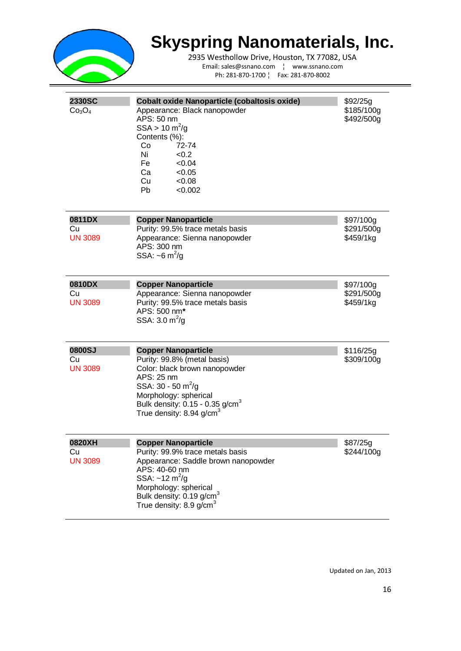

2935 Westhollow Drive, Houston, TX 77082, USA Email: sales@ssnano.com ¦ www.ssnano.com Ph: 281-870-1700 ¦ Fax: 281-870-8002

| <b>2330SC</b><br>Co <sub>3</sub> O <sub>4</sub> | <b>Cobalt oxide Nanoparticle (cobaltosis oxide)</b><br>Appearance: Black nanopowder<br>APS: 50 nm<br>$SSA > 10 \text{ m}^2/\text{g}$<br>Contents (%):<br>Co<br>72-74<br>Ni<br>< 0.2<br>Fe<br>< 0.04<br>Ca<br>< 0.05<br>Cu<br>< 0.08<br><b>Pb</b><br>< 0.002          | \$92/25g<br>\$185/100g<br>\$492/500g |
|-------------------------------------------------|----------------------------------------------------------------------------------------------------------------------------------------------------------------------------------------------------------------------------------------------------------------------|--------------------------------------|
| 0811DX<br>Cu<br><b>UN 3089</b>                  | <b>Copper Nanoparticle</b><br>Purity: 99.5% trace metals basis<br>Appearance: Sienna nanopowder<br>APS: 300 nm<br>SSA: $\sim 6 \text{ m}^2/\text{g}$                                                                                                                 | \$97/100g<br>\$291/500g<br>\$459/1kg |
| 0810DX<br>Cu<br><b>UN 3089</b>                  | <b>Copper Nanoparticle</b><br>Appearance: Sienna nanopowder<br>Purity: 99.5% trace metals basis<br>APS: 500 nm*<br>SSA: $3.0 \text{ m}^2/\text{g}$                                                                                                                   | \$97/100g<br>\$291/500g<br>\$459/1kg |
| 0800SJ<br>Cu<br><b>UN 3089</b>                  | <b>Copper Nanoparticle</b><br>Purity: 99.8% (metal basis)<br>Color: black brown nanopowder<br>APS: 25 nm<br>SSA: $30 - 50$ m <sup>2</sup> /g<br>Morphology: spherical<br>Bulk density: $0.15 - 0.35$ g/cm <sup>3</sup><br>True density: 8.94 g/cm <sup>3</sup>       | \$116/25g<br>\$309/100g              |
| 0820XH<br>Cu<br><b>UN 3089</b>                  | <b>Copper Nanoparticle</b><br>Purity: 99.9% trace metals basis<br>Appearance: Saddle brown nanopowder<br>APS: 40-60 nm<br>SSA: $\sim$ 12 m <sup>2</sup> /g<br>Morphology: spherical<br>Bulk density: 0.19 g/cm <sup>3</sup><br>True density: $8.9$ g/cm <sup>3</sup> | \$87/25g<br>\$244/100g               |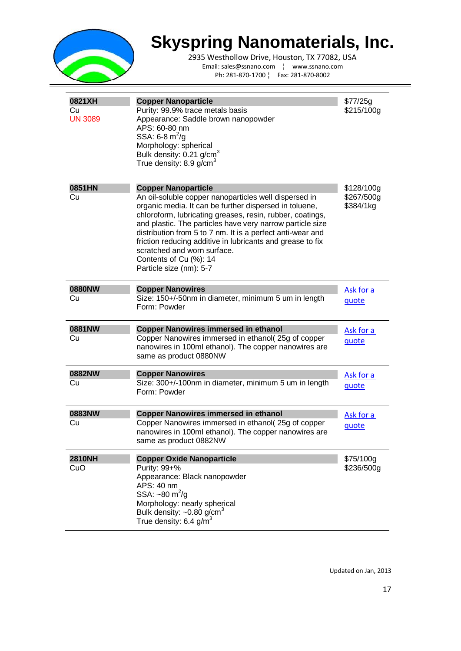

2935 Westhollow Drive, Houston, TX 77082, USA Email: sales@ssnano.com ¦ www.ssnano.com Ph: 281-870-1700 ¦ Fax: 281-870-8002

| 0821XH<br>Cu<br><b>UN 3089</b> | <b>Copper Nanoparticle</b><br>Purity: 99.9% trace metals basis<br>Appearance: Saddle brown nanopowder<br>APS: 60-80 nm<br>SSA: 6-8 $m^2/g$<br>Morphology: spherical<br>Bulk density: 0.21 g/cm <sup>3</sup><br>True density: 8.9 g/cm $3$                                                                                                                                                                                                                                               | \$77/25g<br>\$215/100g                |
|--------------------------------|-----------------------------------------------------------------------------------------------------------------------------------------------------------------------------------------------------------------------------------------------------------------------------------------------------------------------------------------------------------------------------------------------------------------------------------------------------------------------------------------|---------------------------------------|
| 0851HN<br>Cu                   | <b>Copper Nanoparticle</b><br>An oil-soluble copper nanoparticles well dispersed in<br>organic media. It can be further dispersed in toluene,<br>chloroform, lubricating greases, resin, rubber, coatings,<br>and plastic. The particles have very narrow particle size<br>distribution from 5 to 7 nm. It is a perfect anti-wear and<br>friction reducing additive in lubricants and grease to fix<br>scratched and worn surface.<br>Contents of Cu (%): 14<br>Particle size (nm): 5-7 | \$128/100g<br>\$267/500g<br>\$384/1kg |
| 0880NW<br>Cu                   | <b>Copper Nanowires</b><br>Size: 150+/-50nm in diameter, minimum 5 um in length<br>Form: Powder                                                                                                                                                                                                                                                                                                                                                                                         | Ask for a<br>quote                    |
| 0881NW<br>Cu                   | <b>Copper Nanowires immersed in ethanol</b><br>Copper Nanowires immersed in ethanol(25g of copper<br>nanowires in 100ml ethanol). The copper nanowires are<br>same as product 0880NW                                                                                                                                                                                                                                                                                                    | Ask for a<br>quote                    |
| 0882NW<br>Cu                   | <b>Copper Nanowires</b><br>Size: 300+/-100nm in diameter, minimum 5 um in length<br>Form: Powder                                                                                                                                                                                                                                                                                                                                                                                        | Ask for a<br>quote                    |
| 0883NW<br>Cu                   | <b>Copper Nanowires immersed in ethanol</b><br>Copper Nanowires immersed in ethanol(25g of copper<br>nanowires in 100ml ethanol). The copper nanowires are<br>same as product 0882NW                                                                                                                                                                                                                                                                                                    | Ask for a<br>quote                    |
| <b>2810NH</b><br>CuO           | <b>Copper Oxide Nanoparticle</b><br>Purity: 99+%<br>Appearance: Black nanopowder<br>APS: 40 nm<br>SSA: $~50 \text{ m}^2/\text{g}$<br>Morphology: nearly spherical<br>Bulk density: $\sim 0.80$ g/cm <sup>3</sup><br>True density: $6.4$ g/m <sup>3</sup>                                                                                                                                                                                                                                | \$75/100g<br>\$236/500g               |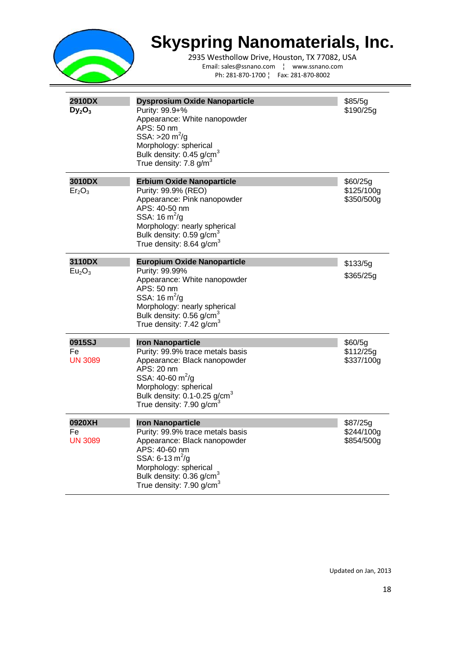

2935 Westhollow Drive, Houston, TX 77082, USA Email: sales@ssnano.com ¦ www.ssnano.com Ph: 281-870-1700 ¦ Fax: 281-870-8002

| 2910DX<br>$Dy_2O_3$                      | <b>Dysprosium Oxide Nanoparticle</b><br>Purity: 99.9+%<br>Appearance: White nanopowder<br>APS: 50 nm<br>SSA: $>20 \text{ m}^2/\text{g}$<br>Morphology: spherical<br>Bulk density: 0.45 g/cm <sup>3</sup><br>True density: 7.8 g/m <sup>3</sup>              | \$85/5g<br>\$190/25g                 |
|------------------------------------------|-------------------------------------------------------------------------------------------------------------------------------------------------------------------------------------------------------------------------------------------------------------|--------------------------------------|
| 3010DX<br>Er <sub>2</sub> O <sub>3</sub> | <b>Erbium Oxide Nanoparticle</b><br>Purity: 99.9% (REO)<br>Appearance: Pink nanopowder<br>APS: 40-50 nm<br>SSA: $16 \text{ m}^2/\text{g}$<br>Morphology: nearly spherical<br>Bulk density: 0.59 g/cm <sup>3</sup><br>True density: 8.64 g/cm <sup>3</sup>   | \$60/25g<br>\$125/100g<br>\$350/500g |
| 3110DX<br>Eu <sub>2</sub> O <sub>3</sub> | <b>Europium Oxide Nanoparticle</b><br>Purity: 99.99%<br>Appearance: White nanopowder<br>APS: 50 nm<br>SSA: $16 \text{ m}^2/\text{g}$<br>Morphology: nearly spherical<br>Bulk density: 0.56 g/cm <sup>3</sup><br>True density: $7.42$ g/cm <sup>3</sup>      | \$133/5g<br>\$365/25g                |
| 0915SJ<br>Fe<br><b>UN 3089</b>           | <b>Iron Nanoparticle</b><br>Purity: 99.9% trace metals basis<br>Appearance: Black nanopowder<br>APS: 20 nm<br>SSA: 40-60 $m^2$ /g<br>Morphology: spherical<br>Bulk density: $0.1$ -0.25 g/cm <sup>3</sup><br>True density: $7.90$ g/cm <sup>3</sup>         | \$60/5g<br>\$112/25g<br>\$337/100g   |
| 0920XH<br>Fe<br><b>UN 3089</b>           | <b>Iron Nanoparticle</b><br>Purity: 99.9% trace metals basis<br>Appearance: Black nanopowder<br>APS: 40-60 nm<br>SSA: 6-13 $\text{m}^2/\text{g}$<br>Morphology: spherical<br>Bulk density: 0.36 g/cm <sup>3</sup><br>True density: $7.90$ g/cm <sup>3</sup> | \$87/25g<br>\$244/100g<br>\$854/500g |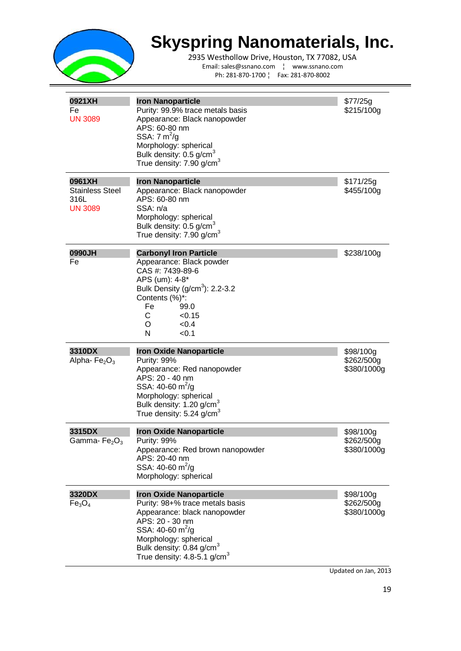

2935 Westhollow Drive, Houston, TX 77082, USA Email: sales@ssnano.com ¦ www.ssnano.com Ph: 281-870-1700 ¦ Fax: 281-870-8002

| 0921XH<br>Fe<br><b>UN 3089</b>                             | <b>Iron Nanoparticle</b><br>Purity: 99.9% trace metals basis<br>Appearance: Black nanopowder<br>APS: 60-80 nm<br>SSA: $7 \text{ m}^2$ /g<br>Morphology: spherical<br>Bulk density: 0.5 g/cm <sup>3</sup><br>True density: $7.90$ g/cm <sup>3</sup>          | \$77/25g<br>\$215/100g                 |
|------------------------------------------------------------|-------------------------------------------------------------------------------------------------------------------------------------------------------------------------------------------------------------------------------------------------------------|----------------------------------------|
| 0961XH<br><b>Stainless Steel</b><br>316L<br><b>UN 3089</b> | <b>Iron Nanoparticle</b><br>Appearance: Black nanopowder<br>APS: 60-80 nm<br>SSA: n/a<br>Morphology: spherical<br>Bulk density: 0.5 g/cm <sup>3</sup><br>True density: 7.90 g/cm <sup>3</sup>                                                               | \$171/25g<br>\$455/100g                |
| 0990JH<br>Fe                                               | <b>Carbonyl Iron Particle</b><br>Appearance: Black powder<br>CAS #: 7439-89-6<br>APS (um): 4-8*<br>Bulk Density (g/cm <sup>3</sup> ): 2.2-3.2<br>Contents (%)*:<br>Fe<br>99.0<br>C.<br>< 0.15<br>O<br>< 0.4<br>N<br>< 0.1                                   | \$238/100g                             |
| 3310DX<br>Alpha- $Fe2O3$                                   | <b>Iron Oxide Nanoparticle</b><br>Purity: 99%<br>Appearance: Red nanopowder<br>APS: 20 - 40 nm<br>SSA: 40-60 $m^2$ /g<br>Morphology: spherical<br>Bulk density: 1.20 g/cm <sup>3</sup><br>True density: 5.24 g/cm $3$                                       | \$98/100g<br>\$262/500g<br>\$380/1000g |
| 3315DX<br>Gamma- $Fe2O3$                                   | <b>Iron Oxide Nanoparticle</b><br>Purity: 99%<br>Appearance: Red brown nanopowder<br>APS: 20-40 nm<br>SSA: 40-60 $m^2$ /g<br>Morphology: spherical                                                                                                          | \$98/100g<br>\$262/500g<br>\$380/1000g |
| 3320DX<br>Fe <sub>3</sub> O <sub>4</sub>                   | <b>Iron Oxide Nanoparticle</b><br>Purity: 98+% trace metals basis<br>Appearance: black nanopowder<br>APS: 20 - 30 nm<br>SSA: 40-60 $m^2$ /g<br>Morphology: spherical<br>Bulk density: 0.84 g/cm <sup>3</sup><br>True density: $4.8 - 5.1$ g/cm <sup>3</sup> | \$98/100g<br>\$262/500g<br>\$380/1000g |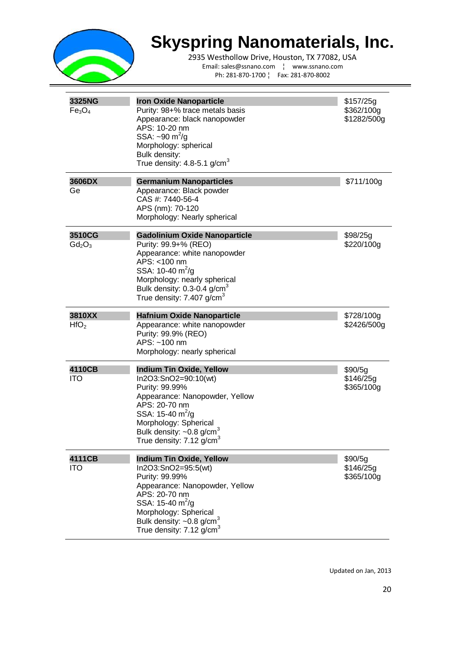

2935 Westhollow Drive, Houston, TX 77082, USA Email: sales@ssnano.com ¦ www.ssnano.com Ph: 281-870-1700 ¦ Fax: 281-870-8002

| 3325NG<br>Fe <sub>3</sub> O <sub>4</sub> | <b>Iron Oxide Nanoparticle</b><br>Purity: 98+% trace metals basis<br>Appearance: black nanopowder<br>APS: 10-20 nm<br>SSA: $\sim 90 \text{ m}^2/\text{g}$<br>Morphology: spherical<br>Bulk density:<br>True density: 4.8-5.1 g/cm <sup>3</sup>                      | \$157/25g<br>\$362/100g<br>\$1282/500g |
|------------------------------------------|---------------------------------------------------------------------------------------------------------------------------------------------------------------------------------------------------------------------------------------------------------------------|----------------------------------------|
| 3606DX<br>Ge                             | <b>Germanium Nanoparticles</b><br>Appearance: Black powder<br>CAS #: 7440-56-4<br>APS (nm): 70-120<br>Morphology: Nearly spherical                                                                                                                                  | \$711/100g                             |
| 3510CG<br>$Gd_2O_3$                      | <b>Gadolinium Oxide Nanoparticle</b><br>Purity: 99.9+% (REO)<br>Appearance: white nanopowder<br>APS: <100 nm<br>SSA: 10-40 $m^2/q$<br>Morphology: nearly spherical<br>Bulk density: $0.3 - 0.4$ g/cm <sup>3</sup><br>True density: 7.407 g/cm $3$                   | \$98/25g<br>\$220/100g                 |
| 3810XX<br>HfO <sub>2</sub>               | <b>Hafnium Oxide Nanoparticle</b><br>Appearance: white nanopowder<br>Purity: 99.9% (REO)<br>APS: ~100 nm<br>Morphology: nearly spherical                                                                                                                            | \$728/100g<br>\$2426/500g              |
| 4110CB<br><b>ITO</b>                     | <b>Indium Tin Oxide, Yellow</b><br>In2O3:SnO2=90:10(wt)<br>Purity: 99.99%<br>Appearance: Nanopowder, Yellow<br>APS: 20-70 nm<br>SSA: 15-40 $m^2$ /g<br>Morphology: Spherical<br>Bulk density: $\sim 0.8$ g/cm <sup>3</sup><br>True density: 7.12 g/cm $^3$          | \$90/5g<br>\$146/25g<br>\$365/100g     |
| 4111CB<br><b>ITO</b>                     | <b>Indium Tin Oxide, Yellow</b><br>In2O3:SnO2=95:5(wt)<br>Purity: 99.99%<br>Appearance: Nanopowder, Yellow<br>APS: 20-70 nm<br>SSA: 15-40 $m^2$ /g<br>Morphology: Spherical<br>Bulk density: $\sim 0.8$ g/cm <sup>3</sup><br>True density: $7.12$ g/cm <sup>3</sup> | \$90/5g<br>\$146/25g<br>\$365/100g     |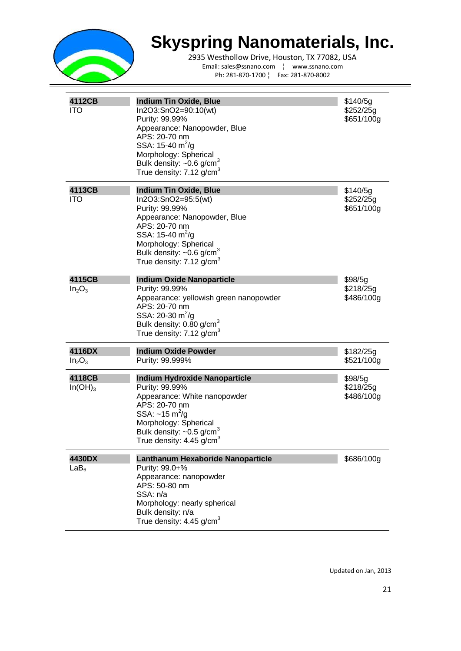

| 4112CB<br><b>ITO</b>                     | <b>Indium Tin Oxide, Blue</b><br>In2O3:SnO2=90:10(wt)<br>Purity: 99.99%<br>Appearance: Nanopowder, Blue<br>APS: 20-70 nm<br>SSA: $15-40 \text{ m}^2/\text{g}$<br>Morphology: Spherical<br>Bulk density: $\sim 0.6$ g/cm <sup>3</sup><br>True density: $7.12$ g/cm <sup>3</sup> | \$140/5q<br>\$252/25g<br>\$651/100g |
|------------------------------------------|--------------------------------------------------------------------------------------------------------------------------------------------------------------------------------------------------------------------------------------------------------------------------------|-------------------------------------|
| 4113CB<br><b>ITO</b>                     | <b>Indium Tin Oxide, Blue</b><br>In2O3:SnO2=95:5(wt)<br>Purity: 99.99%<br>Appearance: Nanopowder, Blue<br>APS: 20-70 nm<br>SSA: 15-40 $m^2$ /g<br>Morphology: Spherical<br>Bulk density: $\sim 0.6$ g/cm <sup>3</sup><br>True density: $7.12$ g/cm <sup>3</sup>                | \$140/5g<br>\$252/25g<br>\$651/100g |
| 4115CB<br>In <sub>2</sub> O <sub>3</sub> | <b>Indium Oxide Nanoparticle</b><br>Purity: 99.99%<br>Appearance: yellowish green nanopowder<br>APS: 20-70 nm<br>SSA: 20-30 $m^2$ /g<br>Bulk density: 0.80 g/cm <sup>3</sup><br>True density: $7.12$ g/cm <sup>3</sup>                                                         | \$98/5g<br>\$218/25g<br>\$486/100g  |
| 4116DX<br>In <sub>2</sub> O <sub>3</sub> | <b>Indium Oxide Powder</b><br>Purity: 99.999%                                                                                                                                                                                                                                  | \$182/25g<br>\$521/100g             |
| 4118CB<br>$In(OH)_3$                     | <b>Indium Hydroxide Nanoparticle</b><br>Purity: 99.99%<br>Appearance: White nanopowder<br>APS: 20-70 nm<br>SSA: $\sim$ 15 m <sup>2</sup> /g<br>Morphology: Spherical<br>Bulk density: $\sim 0.5$ g/cm <sup>3</sup><br>True density: $4.45$ g/cm <sup>3</sup>                   | \$98/5g<br>\$218/25g<br>\$486/100g  |
| 4430DX<br>LaB <sub>6</sub>               | Lanthanum Hexaboride Nanoparticle<br>Purity: 99.0+%<br>Appearance: nanopowder<br>APS: 50-80 nm<br>SSA: n/a<br>Morphology: nearly spherical<br>Bulk density: n/a<br>True density: $4.45$ g/cm <sup>3</sup>                                                                      | \$686/100g                          |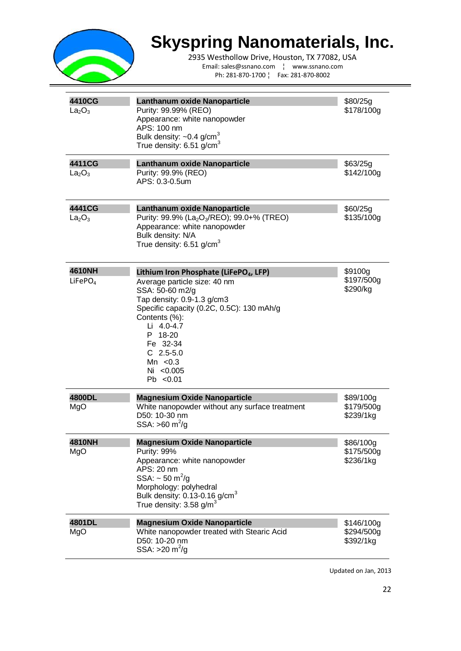

2935 Westhollow Drive, Houston, TX 77082, USA Email: sales@ssnano.com ¦ www.ssnano.com Ph: 281-870-1700 ¦ Fax: 281-870-8002

| 4410CG<br>La <sub>2</sub> O <sub>3</sub> | Lanthanum oxide Nanoparticle<br>Purity: 99.99% (REO)<br>Appearance: white nanopowder<br>APS: 100 nm<br>Bulk density: $\sim 0.4$ g/cm <sup>3</sup><br>True density: $6.51$ g/cm <sup>3</sup>                                                                                                       | \$80/25g<br>\$178/100g                |
|------------------------------------------|---------------------------------------------------------------------------------------------------------------------------------------------------------------------------------------------------------------------------------------------------------------------------------------------------|---------------------------------------|
| 4411CG<br>La <sub>2</sub> O <sub>3</sub> | Lanthanum oxide Nanoparticle<br>Purity: 99.9% (REO)<br>APS: 0.3-0.5um                                                                                                                                                                                                                             | \$63/25g<br>\$142/100g                |
| 4441CG<br>La <sub>2</sub> O <sub>3</sub> | Lanthanum oxide Nanoparticle<br>Purity: 99.9% (La <sub>2</sub> O <sub>3</sub> /REO); 99.0+% (TREO)<br>Appearance: white nanopowder<br>Bulk density: N/A<br>True density: $6.51$ g/cm <sup>3</sup>                                                                                                 | \$60/25g<br>\$135/100g                |
| 4610NH<br>LiFePO <sub>4</sub>            | Lithium Iron Phosphate (LiFePO <sub>4</sub> , LFP)<br>Average particle size: 40 nm<br>SSA: 50-60 m2/g<br>Tap density: 0.9-1.3 g/cm3<br>Specific capacity (0.2C, 0.5C): 130 mAh/g<br>Contents (%):<br>Li 4.0-4.7<br>P 18-20<br>Fe 32-34<br>$C$ 2.5-5.0<br>Mn $< 0.3$<br>Ni <0.005<br>$Pb \le 0.01$ | \$9100g<br>\$197/500g<br>\$290/kg     |
| 4800DL<br>MgO                            | <b>Magnesium Oxide Nanoparticle</b><br>White nanopowder without any surface treatment<br>D50: 10-30 nm<br>SSA: $>60 \text{ m}^2/\text{g}$                                                                                                                                                         | \$89/100g<br>\$179/500g<br>\$239/1kg  |
| 4810NH<br>MgO                            | <b>Magnesium Oxide Nanoparticle</b><br>Purity: 99%<br>Appearance: white nanopowder<br>APS: 20 nm<br>SSA: $\sim$ 50 m <sup>2</sup> /g<br>Morphology: polyhedral<br>Bulk density: $0.13$ -0.16 g/cm <sup>3</sup><br>True density: $3.58$ g/m <sup>3</sup>                                           | \$86/100g<br>\$175/500g<br>\$236/1kg  |
| 4801DL<br>MgO                            | <b>Magnesium Oxide Nanoparticle</b><br>White nanopowder treated with Stearic Acid<br>D50: 10-20 nm<br>SSA: $>20 \text{ m}^2/\text{g}$                                                                                                                                                             | \$146/100g<br>\$294/500g<br>\$392/1kg |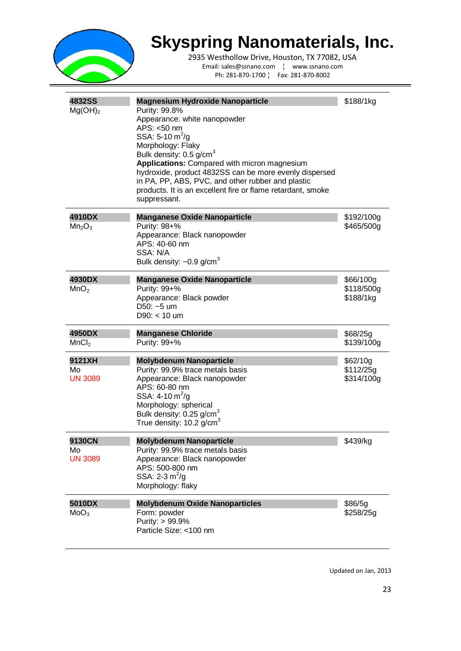

2935 Westhollow Drive, Houston, TX 77082, USA Email: sales@ssnano.com ¦ www.ssnano.com Ph: 281-870-1700 ¦ Fax: 281-870-8002

| <b>4832SS</b><br>Mg(OH) <sub>2</sub>     | <b>Magnesium Hydroxide Nanoparticle</b><br>Purity: 99.8%<br>Appearance: white nanopowder<br>APS: <50 nm<br>SSA: 5-10 $m^2$ /g<br>Morphology: Flaky<br>Bulk density: 0.5 g/cm <sup>3</sup><br>Applications: Compared with micron magnesium<br>hydroxide, product 4832SS can be more evenly dispersed<br>in PA, PP, ABS, PVC, and other rubber and plastic<br>products. It is an excellent fire or flame retardant, smoke<br>suppressant. | \$188/1kg                            |
|------------------------------------------|-----------------------------------------------------------------------------------------------------------------------------------------------------------------------------------------------------------------------------------------------------------------------------------------------------------------------------------------------------------------------------------------------------------------------------------------|--------------------------------------|
| 4910DX<br>Mn <sub>2</sub> O <sub>3</sub> | <b>Manganese Oxide Nanoparticle</b><br>Purity: 98+%<br>Appearance: Black nanopowder<br>APS: 40-60 nm<br>SSA: N/A<br>Bulk density: $\sim 0.9$ g/cm <sup>3</sup>                                                                                                                                                                                                                                                                          | \$192/100g<br>\$465/500g             |
| 4930DX<br>MnO <sub>2</sub>               | <b>Manganese Oxide Nanoparticle</b><br>Purity: 99+%<br>Appearance: Black powder<br>$D50: -5$ um<br>$D90: < 10$ um                                                                                                                                                                                                                                                                                                                       | \$66/100g<br>\$118/500g<br>\$188/1kg |
| 4950DX<br>MnCl <sub>2</sub>              | <b>Manganese Chloride</b><br>Purity: 99+%                                                                                                                                                                                                                                                                                                                                                                                               | \$68/25g<br>\$139/100g               |
| 9121XH<br>Mo<br><b>UN 3089</b>           | <b>Molybdenum Nanoparticle</b><br>Purity: 99.9% trace metals basis<br>Appearance: Black nanopowder<br>APS: 60-80 nm<br>SSA: $4-10 \text{ m}^2/\text{g}$<br>Morphology: spherical<br>Bulk density: 0.25 g/cm <sup>3</sup><br>True density: 10.2 g/cm $3$                                                                                                                                                                                 | \$62/10g<br>\$112/25g<br>\$314/100g  |
| 9130CN                                   |                                                                                                                                                                                                                                                                                                                                                                                                                                         |                                      |
| Mo<br><b>UN 3089</b>                     | <b>Molybdenum Nanoparticle</b><br>Purity: 99.9% trace metals basis<br>Appearance: Black nanopowder<br>APS: 500-800 nm<br>SSA: $2-3 \text{ m}^2/\text{g}$<br>Morphology: flaky                                                                                                                                                                                                                                                           | \$439/kg                             |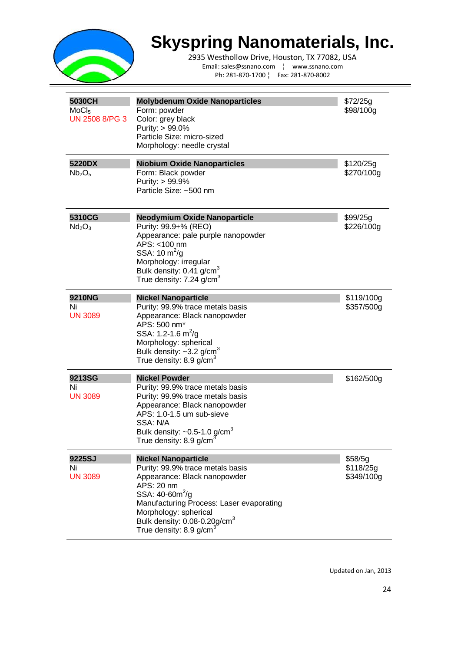

2935 Westhollow Drive, Houston, TX 77082, USA Email: sales@ssnano.com ¦ www.ssnano.com Ph: 281-870-1700 ¦ Fax: 281-870-8002

| 5030CH<br>$M_0Cl_5$<br>UN 2508 8/PG 3    | <b>Molybdenum Oxide Nanoparticles</b><br>Form: powder<br>Color: grey black<br>Purity: > 99.0%<br>Particle Size: micro-sized<br>Morphology: needle crystal                                                                                                                                  | \$72/25g<br>\$98/100g              |
|------------------------------------------|--------------------------------------------------------------------------------------------------------------------------------------------------------------------------------------------------------------------------------------------------------------------------------------------|------------------------------------|
| 5220DX<br>Nb <sub>2</sub> O <sub>5</sub> | <b>Niobium Oxide Nanoparticles</b><br>Form: Black powder<br>Purity: > 99.9%<br>Particle Size: ~500 nm                                                                                                                                                                                      | \$120/25g<br>\$270/100g            |
| 5310CG<br>Nd <sub>2</sub> O <sub>3</sub> | <b>Neodymium Oxide Nanoparticle</b><br>Purity: 99.9+% (REO)<br>Appearance: pale purple nanopowder<br>APS: <100 nm<br>SSA: $10 \text{ m}^2/\text{g}$<br>Morphology: irregular<br>Bulk density: $0.41$ g/cm <sup>3</sup><br>True density: $7.24$ g/cm <sup>3</sup>                           | \$99/25g<br>\$226/100g             |
| 9210NG<br>Ni<br><b>UN 3089</b>           | <b>Nickel Nanoparticle</b><br>Purity: 99.9% trace metals basis<br>Appearance: Black nanopowder<br>APS: 500 nm*<br>SSA: 1.2-1.6 $m^2/g$<br>Morphology: spherical<br>Bulk density: $\sim$ 3.2 g/cm <sup>3</sup><br>True density: $8.9$ g/cm <sup>3</sup>                                     | \$119/100g<br>\$357/500g           |
| 9213SG<br>Ni<br><b>UN 3089</b>           | <b>Nickel Powder</b><br>Purity: 99.9% trace metals basis<br>Purity: 99.9% trace metals basis<br>Appearance: Black nanopowder<br>APS: 1.0-1.5 um sub-sieve<br>SSA: N/A<br>Bulk density: $\sim 0.5$ -1.0 g/cm <sup>3</sup><br>I rue density: 8.9 g/cm                                        | \$162/500g                         |
| 9225SJ<br>Ni<br><b>UN 3089</b>           | <b>Nickel Nanoparticle</b><br>Purity: 99.9% trace metals basis<br>Appearance: Black nanopowder<br>APS: 20 nm<br>SSA: 40-60m <sup>2</sup> /g<br>Manufacturing Process: Laser evaporating<br>Morphology: spherical<br>Bulk density: 0.08-0.20g/cm <sup>3</sup><br>True density: 8.9 g/cm $3$ | \$58/5q<br>\$118/25g<br>\$349/100g |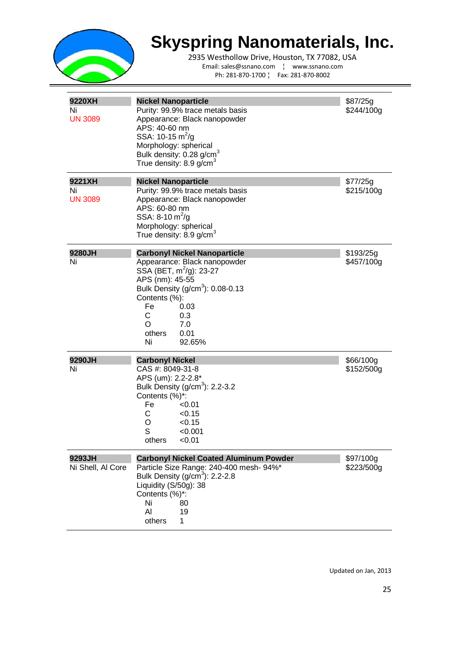

2935 Westhollow Drive, Houston, TX 77082, USA Email: sales@ssnano.com ¦ www.ssnano.com Ph: 281-870-1700 ¦ Fax: 281-870-8002

| 9220XH<br>Ni<br><b>UN 3089</b> | <b>Nickel Nanoparticle</b><br>Purity: 99.9% trace metals basis<br>Appearance: Black nanopowder<br>APS: 40-60 nm<br>SSA: 10-15 $m^2/q$<br>Morphology: spherical<br>Bulk density: 0.28 g/cm <sup>3</sup><br>True density: 8.9 g/cm $^3$                                  | \$87/25g<br>\$244/100g  |
|--------------------------------|------------------------------------------------------------------------------------------------------------------------------------------------------------------------------------------------------------------------------------------------------------------------|-------------------------|
| 9221XH<br>Ni<br><b>UN 3089</b> | <b>Nickel Nanoparticle</b><br>Purity: 99.9% trace metals basis<br>Appearance: Black nanopowder<br>APS: 60-80 nm<br>SSA: 8-10 $m^2/g$<br>Morphology: spherical<br>True density: 8.9 g/cm $^3$                                                                           | \$77/25g<br>\$215/100g  |
| 9280JH<br>Ni                   | <b>Carbonyl Nickel Nanoparticle</b><br>Appearance: Black nanopowder<br>SSA (BET, m <sup>2</sup> /g): 23-27<br>APS (nm): 45-55<br>Bulk Density (g/cm <sup>3</sup> ): 0.08-0.13<br>Contents (%):<br>Fe<br>0.03<br>С<br>0.3<br>7.0<br>O<br>others<br>0.01<br>Ni<br>92.65% | \$193/25g<br>\$457/100g |
| 9290JH<br>Ni                   | <b>Carbonyl Nickel</b><br>CAS #: 8049-31-8<br>APS (um): 2.2-2.8*<br>Bulk Density (g/cm <sup>3</sup> ): 2.2-3.2<br>Contents (%)*:<br>Fe<br>< 0.01<br>C.<br>< 0.15<br>O<br>< 0.15<br>S<br>< 0.001<br>others<br>< 0.01                                                    | \$66/100g<br>\$152/500g |
| 9293JH<br>Ni Shell, Al Core    | <b>Carbonyl Nickel Coated Aluminum Powder</b><br>Particle Size Range: 240-400 mesh- 94%*<br>Bulk Density (g/cm <sup>3</sup> ): 2.2-2.8<br>Liquidity (S/50g): 38<br>Contents (%)*:<br>Ni<br>80<br>Al<br>19<br>others<br>1.                                              | \$97/100g<br>\$223/500g |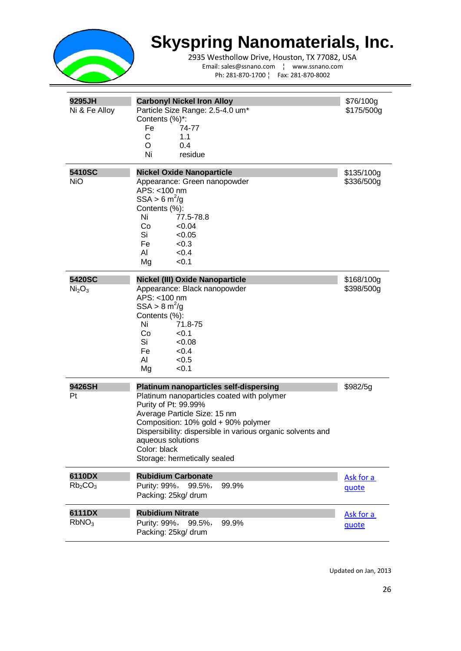

2935 Westhollow Drive, Houston, TX 77082, USA Email: sales@ssnano.com ¦ www.ssnano.com Ph: 281-870-1700 ¦ Fax: 281-870-8002

| 9295JH<br>Ni & Fe Alloy                   | <b>Carbonyl Nickel Iron Alloy</b><br>Particle Size Range: 2.5-4.0 um*<br>Contents (%)*:<br>Fe<br>74-77<br>C<br>1.1<br>O<br>0.4<br>Ni<br>residue                                                                                                                                                                                | \$76/100g<br>\$175/500g  |
|-------------------------------------------|--------------------------------------------------------------------------------------------------------------------------------------------------------------------------------------------------------------------------------------------------------------------------------------------------------------------------------|--------------------------|
| 5410SC<br><b>NiO</b>                      | <b>Nickel Oxide Nanoparticle</b><br>Appearance: Green nanopowder<br>APS: <100 nm<br>SSA > 6 m <sup>2</sup> /g<br>Contents (%):<br>Ni<br>77.5-78.8<br>Co<br>< 0.04<br>Si<br>< 0.05<br>Fe<br>< 0.3<br>AI<br>< 0.4<br>Mg<br>< 0.1                                                                                                 | \$135/100g<br>\$336/500g |
| 5420SC<br>Ni <sub>2</sub> O <sub>3</sub>  | Nickel (III) Oxide Nanoparticle<br>Appearance: Black nanopowder<br>APS: <100 nm<br>$SSA > 8$ m <sup>2</sup> /g<br>Contents (%):<br>Ni<br>71.8-75<br>Co<br>< 0.1<br>Si<br>< 0.08<br>Fe<br>< 0.4<br>AI<br>< 0.5<br>Mg<br>< 0.1                                                                                                   | \$168/100g<br>\$398/500g |
| 9426SH<br>Pt                              | <b>Platinum nanoparticles self-dispersing</b><br>Platinum nanoparticles coated with polymer<br>Purity of Pt: 99.99%<br>Average Particle Size: 15 nm<br>Composition: 10% gold + 90% polymer<br>Dispersibility: dispersible in various organic solvents and<br>aqueous solutions<br>Color: black<br>Storage: hermetically sealed | \$982/5g                 |
| 6110DX<br>Rb <sub>2</sub> CO <sub>3</sub> | <b>Rubidium Carbonate</b><br>Purity: 99%,<br>99.5%,<br>99.9%<br>Packing: 25kg/ drum                                                                                                                                                                                                                                            | Ask for a<br>quote       |
| 6111DX<br>RbNO <sub>3</sub>               | <b>Rubidium Nitrate</b><br>Purity: 99%,<br>99.5%,<br>99.9%<br>Packing: 25kg/ drum                                                                                                                                                                                                                                              | Ask for a<br>quote       |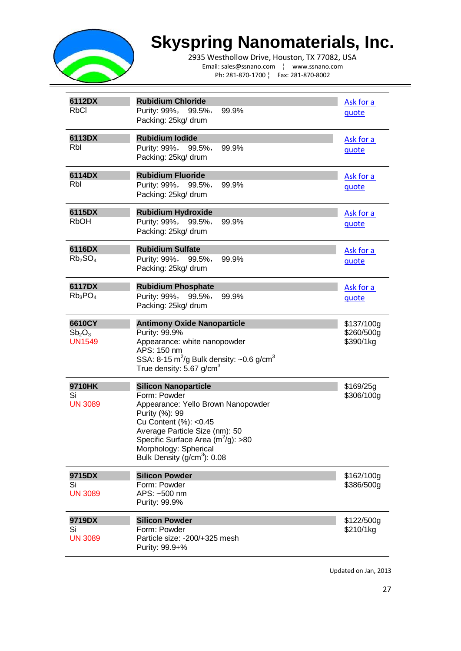

2935 Westhollow Drive, Houston, TX 77082, USA Email: sales@ssnano.com ¦ www.ssnano.com Ph: 281-870-1700 ¦ Fax: 281-870-8002

| 6112DX<br><b>RbCl</b>                                     | <b>Rubidium Chloride</b><br>Purity: 99%,<br>99.9%<br>$99.5\%$<br>Packing: 25kg/ drum                                                                                                                                                                                        | Ask for a<br>quote                    |
|-----------------------------------------------------------|-----------------------------------------------------------------------------------------------------------------------------------------------------------------------------------------------------------------------------------------------------------------------------|---------------------------------------|
| 6113DX<br>Rbl                                             | <b>Rubidium lodide</b><br>Purity: 99%,<br>99.9%<br>$99.5\%$<br>Packing: 25kg/ drum                                                                                                                                                                                          | Ask for a<br>quote                    |
| 6114DX<br>Rbl                                             | <b>Rubidium Fluoride</b><br>Purity: 99%,<br>99.9%<br>$99.5\%$<br>Packing: 25kg/ drum                                                                                                                                                                                        | Ask for a<br>quote                    |
| 6115DX<br><b>RbOH</b>                                     | <b>Rubidium Hydroxide</b><br>Purity: 99%,<br>99.9%<br>$99.5\%$<br>Packing: 25kg/ drum                                                                                                                                                                                       | Ask for a<br>quote                    |
| 6116DX<br>Rb <sub>2</sub> SO <sub>4</sub>                 | <b>Rubidium Sulfate</b><br>Purity: 99%,<br>99.9%<br>$99.5\%$<br>Packing: 25kg/ drum                                                                                                                                                                                         | Ask for a<br>quote                    |
| 6117DX<br>$Rb_3PO_4$                                      | <b>Rubidium Phosphate</b><br>Purity: 99%,<br>99.5%,<br>99.9%<br>Packing: 25kg/ drum                                                                                                                                                                                         | Ask for a<br>quote                    |
| 6610CY<br>Sb <sub>2</sub> O <sub>3</sub><br><b>UN1549</b> | <b>Antimony Oxide Nanoparticle</b><br>Purity: 99.9%<br>Appearance: white nanopowder<br>APS: 150 nm<br>SSA: 8-15 $\text{m}^2/\text{g}$ Bulk density: ~0.6 g/cm <sup>3</sup><br>True density: 5.67 g/cm $3$                                                                   | \$137/100g<br>\$260/500g<br>\$390/1kg |
| 9710HK<br>Si<br><b>UN 3089</b>                            | <b>Silicon Nanoparticle</b><br>Form: Powder<br>Appearance: Yello Brown Nanopowder<br>Purity (%): 99<br>Cu Content (%): < 0.45<br>Average Particle Size (nm): 50<br>Specific Surface Area (m <sup>-</sup> /g): >80<br>Morphology: Spherical<br>Bulk Density $(g/cm3)$ : 0.08 | \$169/25g<br>\$306/100g               |
| 9715DX<br>Si<br><b>UN 3089</b>                            | <b>Silicon Powder</b><br>Form: Powder<br>APS: ~500 nm<br>Purity: 99.9%                                                                                                                                                                                                      | \$162/100g<br>\$386/500g              |
| 9719DX<br>Si<br><b>UN 3089</b>                            | <b>Silicon Powder</b><br>Form: Powder<br>Particle size: -200/+325 mesh<br>Purity: 99.9+%                                                                                                                                                                                    | \$122/500g<br>\$210/1kg               |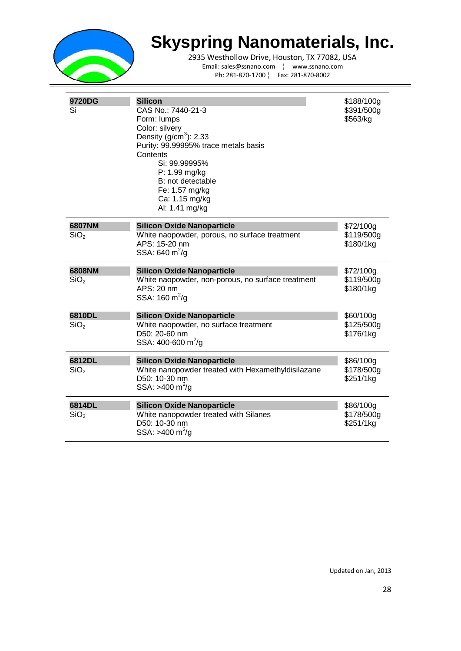

2935 Westhollow Drive, Houston, TX 77082, USA Email: sales@ssnano.com ¦ www.ssnano.com Ph: 281-870-1700 ¦ Fax: 281-870-8002

| 9720DG<br>Si               | <b>Silicon</b><br>CAS No.: 7440-21-3<br>Form: lumps<br>Color: silvery<br>Density $(g/cm3)$ : 2.33<br>Purity: 99.99995% trace metals basis<br>Contents<br>Si: 99.99995%<br>P: 1.99 mg/kg<br>B: not detectable<br>Fe: 1.57 mg/kg<br>Ca: 1.15 mg/kg<br>Al: 1.41 mg/kg | \$188/100g<br>\$391/500g<br>\$563/kg |
|----------------------------|--------------------------------------------------------------------------------------------------------------------------------------------------------------------------------------------------------------------------------------------------------------------|--------------------------------------|
| 6807NM<br>SiO <sub>2</sub> | <b>Silicon Oxide Nanoparticle</b><br>White naopowder, porous, no surface treatment<br>APS: 15-20 nm<br>SSA: 640 $m^2/g$                                                                                                                                            | \$72/100g<br>\$119/500g<br>\$180/1kg |
| 6808NM<br>SiO <sub>2</sub> | <b>Silicon Oxide Nanoparticle</b><br>White naopowder, non-porous, no surface treatment<br>APS: 20 nm<br>SSA: $160 \text{ m}^2/\text{g}$                                                                                                                            | \$72/100g<br>\$119/500g<br>\$180/1kg |
| 6810DL<br>SiO <sub>2</sub> | <b>Silicon Oxide Nanoparticle</b><br>White naopowder, no surface treatment<br>D50: 20-60 nm<br>SSA: 400-600 m <sup>2</sup> /g                                                                                                                                      | \$60/100g<br>\$125/500g<br>\$176/1kg |
| 6812DL<br>SiO <sub>2</sub> | <b>Silicon Oxide Nanoparticle</b><br>White nanopowder treated with Hexamethyldisilazane<br>D50: 10-30 nm<br>SSA: >400 m <sup>2</sup> /g                                                                                                                            | \$86/100g<br>\$178/500g<br>\$251/1kg |
| 6814DL<br>SiO <sub>2</sub> | <b>Silicon Oxide Nanoparticle</b><br>White nanopowder treated with Silanes<br>D50: 10-30 nm<br>SSA: >400 m <sup>2</sup> /g                                                                                                                                         | \$86/100g<br>\$178/500g<br>\$251/1kg |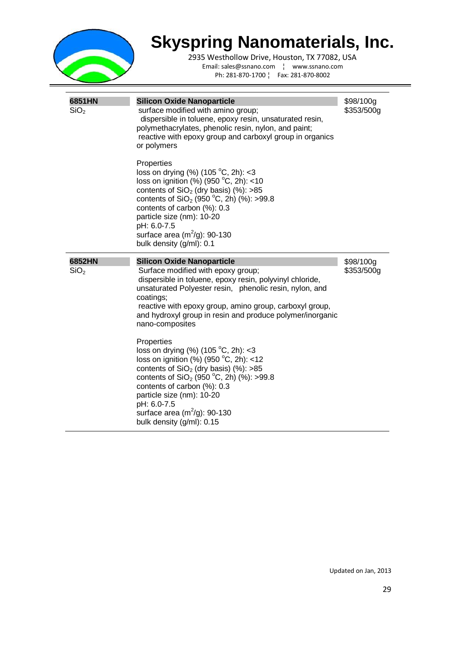

| 6851HN<br>SiO <sub>2</sub> | <b>Silicon Oxide Nanoparticle</b><br>surface modified with amino group;<br>dispersible in toluene, epoxy resin, unsaturated resin,<br>polymethacrylates, phenolic resin, nylon, and paint;<br>reactive with epoxy group and carboxyl group in organics<br>or polymers<br>Properties<br>loss on drying $%$ (105 °C, 2h): <3<br>loss on ignition (%) (950 $^{\circ}$ C, 2h): <10<br>contents of $SiO2$ (dry basis) (%): >85<br>contents of $SiO2$ (950 °C, 2h) (%): >99.8<br>contents of carbon (%): 0.3<br>particle size (nm): 10-20<br>pH: 6.0-7.5<br>surface area $(m^2/g)$ : 90-130<br>bulk density (g/ml): 0.1                                                                                   | \$98/100g<br>\$353/500g |
|----------------------------|-----------------------------------------------------------------------------------------------------------------------------------------------------------------------------------------------------------------------------------------------------------------------------------------------------------------------------------------------------------------------------------------------------------------------------------------------------------------------------------------------------------------------------------------------------------------------------------------------------------------------------------------------------------------------------------------------------|-------------------------|
| 6852HN<br>SiO <sub>2</sub> | <b>Silicon Oxide Nanoparticle</b><br>Surface modified with epoxy group;<br>dispersible in toluene, epoxy resin, polyvinyl chloride,<br>unsaturated Polyester resin, phenolic resin, nylon, and<br>coatings;<br>reactive with epoxy group, amino group, carboxyl group,<br>and hydroxyl group in resin and produce polymer/inorganic<br>nano-composites<br>Properties<br>loss on drying (%) (105 °C, 2h): <3<br>loss on ignition (%) (950 $^{\circ}$ C, 2h): <12<br>contents of $SiO2$ (dry basis) (%): >85<br>contents of $SiO2$ (950 °C, 2h) (%): >99.8<br>contents of carbon (%): 0.3<br>particle size (nm): 10-20<br>pH: 6.0-7.5<br>surface area $(m^2/g)$ : 90-130<br>bulk density (g/ml): 0.15 | \$98/100g<br>\$353/500g |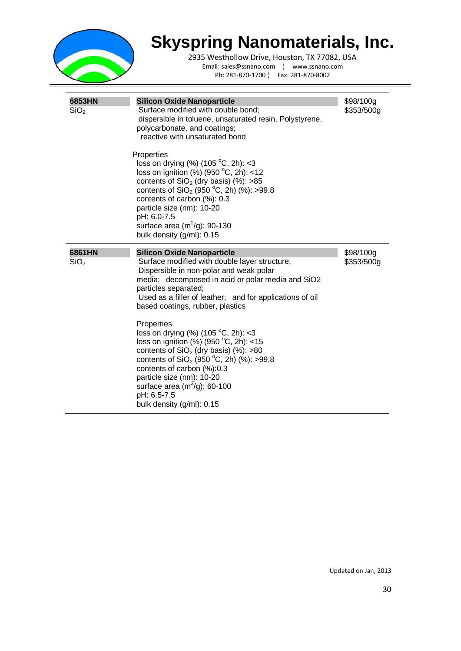

| 6853HN           | <b>Silicon Oxide Nanoparticle</b>                                                                                                                                                                                                                                                                                                                   | \$98/100g  |
|------------------|-----------------------------------------------------------------------------------------------------------------------------------------------------------------------------------------------------------------------------------------------------------------------------------------------------------------------------------------------------|------------|
| SiO <sub>2</sub> | Surface modified with double bond;<br>dispersible in toluene, unsaturated resin, Polystyrene,<br>polycarbonate, and coatings;<br>reactive with unsaturated bond                                                                                                                                                                                     | \$353/500g |
|                  | Properties<br>loss on drying (%) (105 °C, 2h): <3<br>loss on ignition (%) (950 $^{\circ}$ C, 2h): <12<br>contents of $SiO2$ (dry basis) (%): >85<br>contents of SiO <sub>2</sub> (950 °C, 2h) (%): >99.8<br>contents of carbon (%): 0.3<br>particle size (nm): 10-20<br>pH: 6.0-7.5<br>surface area $(m^2/g)$ : 90-130<br>bulk density (g/ml): 0.15 |            |
| 6861HN           | <b>Silicon Oxide Nanoparticle</b>                                                                                                                                                                                                                                                                                                                   | \$98/100g  |
| SiO <sub>2</sub> | Surface modified with double layer structure;<br>Dispersible in non-polar and weak polar<br>media; decomposed in acid or polar media and SiO2<br>particles separated;<br>Used as a filler of leather; and for applications of oil<br>based coatings, rubber, plastics                                                                               | \$353/500g |
|                  | Properties<br>loss on drying $%$ (105 °C, 2h): <3<br>loss on ignition (%) (950 $^{\circ}$ C, 2h): <15<br>contents of $SiO2$ (dry basis) (%): >80<br>contents of $SiO2$ (950 °C, 2h) (%): >99.8<br>contents of carbon (%):0.3                                                                                                                        |            |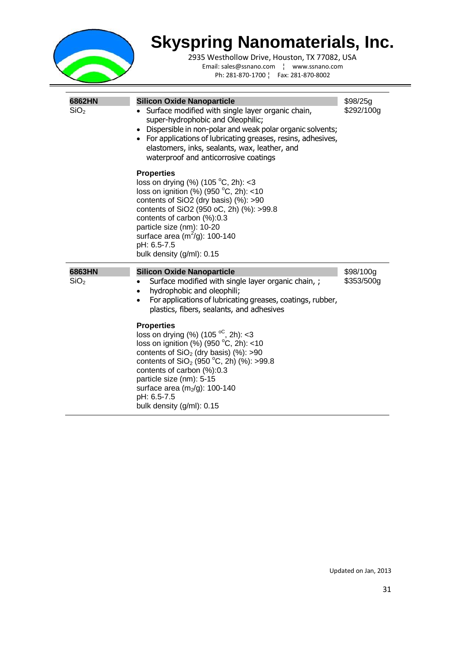

| 6862HN<br>SiO <sub>2</sub> | <b>Silicon Oxide Nanoparticle</b><br>Surface modified with single layer organic chain,<br>super-hydrophobic and Oleophilic;<br>• Dispersible in non-polar and weak polar organic solvents;<br>• For applications of lubricating greases, resins, adhesives,<br>elastomers, inks, sealants, wax, leather, and<br>waterproof and anticorrosive coatings        | \$98/25g<br>\$292/100g  |
|----------------------------|--------------------------------------------------------------------------------------------------------------------------------------------------------------------------------------------------------------------------------------------------------------------------------------------------------------------------------------------------------------|-------------------------|
|                            | <b>Properties</b><br>loss on drying $(\%)$ (105 °C, 2h): <3<br>loss on ignition (%) (950 $^{\circ}$ C, 2h): <10<br>contents of SiO2 (dry basis) (%): >90<br>contents of SiO2 (950 oC, 2h) (%): >99.8<br>contents of carbon $(\%)$ :0.3<br>particle size (nm): 10-20<br>surface area (m <sup>2</sup> /g): 100-140<br>pH: 6.5-7.5<br>bulk density (g/ml): 0.15 |                         |
| 6863HN<br>SiO <sub>2</sub> | <b>Silicon Oxide Nanoparticle</b><br>Surface modified with single layer organic chain, ;<br>hydrophobic and oleophili;<br>٠<br>For applications of lubricating greases, coatings, rubber,<br>٠<br>plastics, fibers, sealants, and adhesives                                                                                                                  | \$98/100g<br>\$353/500g |
|                            | <b>Properties</b><br>loss on drying (%) (105 $^{\circ}$ C, 2h): <3<br>loss on ignition (%) (950 °C, 2h): <10<br>contents of $SiO2$ (dry basis) (%): >90                                                                                                                                                                                                      |                         |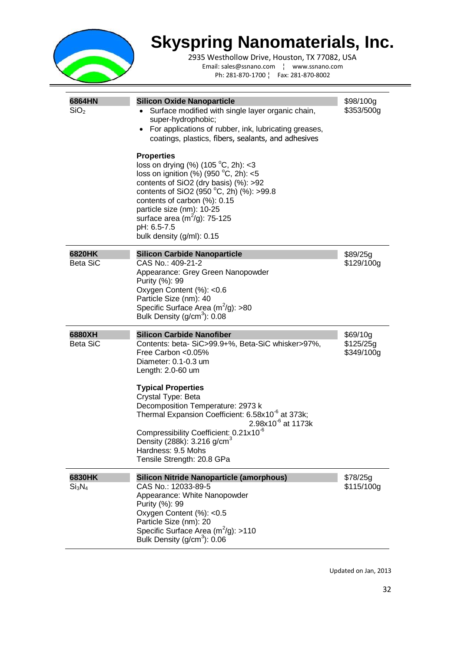

2935 Westhollow Drive, Houston, TX 77082, USA Email: sales@ssnano.com ¦ www.ssnano.com Ph: 281-870-1700 ¦ Fax: 281-870-8002

| 6864HN<br>SiO <sub>2</sub> | <b>Silicon Oxide Nanoparticle</b><br>Surface modified with single layer organic chain,<br>super-hydrophobic;<br>For applications of rubber, ink, lubricating greases,<br>$\bullet$<br>coatings, plastics, fibers, sealants, and adhesives<br><b>Properties</b><br>loss on drying $%$ (105 °C, 2h): <3<br>loss on ignition (%) (950 $^{\circ}$ C, 2h): <5<br>contents of SiO2 (dry basis) (%): >92<br>contents of SiO2 (950 °C, 2h) (%): >99.8<br>contents of carbon (%): 0.15<br>particle size (nm): 10-25<br>surface area $(m2/g)$ : 75-125<br>pH: 6.5-7.5<br>bulk density (g/ml): 0.15 | \$98/100g<br>\$353/500g             |
|----------------------------|------------------------------------------------------------------------------------------------------------------------------------------------------------------------------------------------------------------------------------------------------------------------------------------------------------------------------------------------------------------------------------------------------------------------------------------------------------------------------------------------------------------------------------------------------------------------------------------|-------------------------------------|
| 6820HK                     | <b>Silicon Carbide Nanoparticle</b>                                                                                                                                                                                                                                                                                                                                                                                                                                                                                                                                                      | \$89/25g                            |
| <b>Beta SiC</b>            | CAS No.: 409-21-2<br>Appearance: Grey Green Nanopowder<br>Purity (%): 99<br>Oxygen Content (%): < 0.6<br>Particle Size (nm): 40<br>Specific Surface Area $(m^2/g)$ : >80<br>Bulk Density $(g/cm3)$ : 0.08                                                                                                                                                                                                                                                                                                                                                                                | \$129/100g                          |
|                            |                                                                                                                                                                                                                                                                                                                                                                                                                                                                                                                                                                                          |                                     |
| 6880XH<br><b>Beta SiC</b>  | <b>Silicon Carbide Nanofiber</b><br>Contents: beta-SiC>99.9+%, Beta-SiC whisker>97%,<br>Free Carbon < 0.05%<br>Diameter: 0.1-0.3 um<br>Length: 2.0-60 um                                                                                                                                                                                                                                                                                                                                                                                                                                 | \$69/10g<br>\$125/25g<br>\$349/100g |
|                            | <b>Typical Properties</b>                                                                                                                                                                                                                                                                                                                                                                                                                                                                                                                                                                |                                     |
|                            | Crystal Type: Beta<br>Decomposition Temperature: 2973 k<br>Thermal Expansion Coefficient: 6.58x10 <sup>-6</sup> at 373k;<br>$2.98x10^{-6}$ at 1173k                                                                                                                                                                                                                                                                                                                                                                                                                                      |                                     |
|                            | Compressibility Coefficient: 0.21x10 <sup>-6</sup><br>Density (288k): $3.216$ g/cm <sup>3</sup><br>Hardness: 9.5 Mohs<br>Tensile Strength: 20.8 GPa                                                                                                                                                                                                                                                                                                                                                                                                                                      |                                     |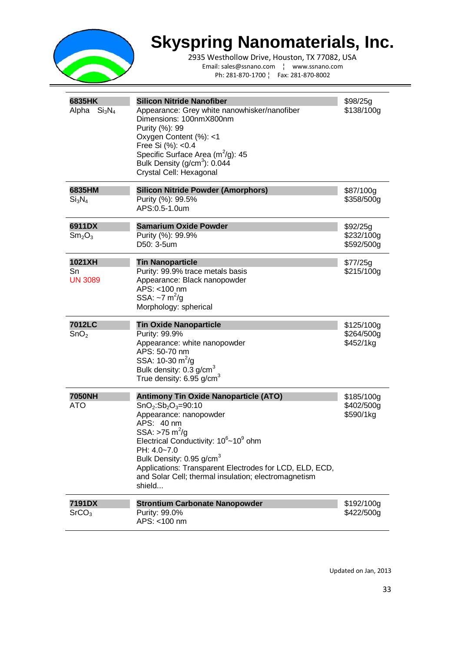

2935 Westhollow Drive, Houston, TX 77082, USA Email: sales@ssnano.com ¦ www.ssnano.com Ph: 281-870-1700 ¦ Fax: 281-870-8002

| 6835HK<br>Alpha<br>Si <sub>3</sub> N <sub>4</sub> | <b>Silicon Nitride Nanofiber</b><br>Appearance: Grey white nanowhisker/nanofiber<br>Dimensions: 100nmX800nm<br>Purity (%): 99<br>Oxygen Content (%): <1<br>Free Si (%): < 0.4<br>Specific Surface Area $(m^2/g)$ : 45<br>Bulk Density $(g/cm3)$ : 0.044<br>Crystal Cell: Hexagonal                                                                                                            | \$98/25g<br>\$138/100g                |
|---------------------------------------------------|-----------------------------------------------------------------------------------------------------------------------------------------------------------------------------------------------------------------------------------------------------------------------------------------------------------------------------------------------------------------------------------------------|---------------------------------------|
| 6835HM<br>Si <sub>3</sub> N <sub>4</sub>          | <b>Silicon Nitride Powder (Amorphors)</b><br>Purity (%): 99.5%<br>APS:0.5-1.0um                                                                                                                                                                                                                                                                                                               | \$87/100g<br>\$358/500g               |
| 6911DX<br>Sm <sub>2</sub> O <sub>3</sub>          | <b>Samarium Oxide Powder</b><br>Purity (%): 99.9%<br>D50: 3-5um                                                                                                                                                                                                                                                                                                                               | \$92/25g<br>\$232/100g<br>\$592/500g  |
| 1021XH<br>Sn<br><b>UN 3089</b>                    | <b>Tin Nanoparticle</b><br>Purity: 99.9% trace metals basis<br>Appearance: Black nanopowder<br>APS: <100 nm<br>SSA: $\sim$ 7 m <sup>2</sup> /g<br>Morphology: spherical                                                                                                                                                                                                                       | \$77/25g<br>\$215/100g                |
| 7012LC<br>SnO <sub>2</sub>                        | <b>Tin Oxide Nanoparticle</b><br>Purity: 99.9%<br>Appearance: white nanopowder<br>APS: 50-70 nm<br>SSA: 10-30 $\text{m}^2/\text{g}$<br>Bulk density: 0.3 g/cm <sup>3</sup><br>True density: $6.95$ g/cm <sup>3</sup>                                                                                                                                                                          | \$125/100g<br>\$264/500g<br>\$452/1kg |
| <b>7050NH</b><br>ATO                              | <b>Antimony Tin Oxide Nanoparticle (ATO)</b><br>$SnO2:Sb2O3=90:10$<br>Appearance: nanopowder<br>APS: 40 nm<br>SSA: >75 m <sup>2</sup> /g<br>Electrical Conductivity: 10 <sup>6</sup> ~10 <sup>9</sup> ohm<br>PH: 4.0~7.0<br>Bulk Density: 0.95 g/cm <sup>3</sup><br>Applications: Transparent Electrodes for LCD, ELD, ECD,<br>and Solar Cell; thermal insulation; electromagnetism<br>shield | \$185/100g<br>\$402/500g<br>\$590/1kg |
| 7191DX<br>SrCO <sub>3</sub>                       | <b>Strontium Carbonate Nanopowder</b><br>Purity: 99.0%<br>APS: <100 nm                                                                                                                                                                                                                                                                                                                        | \$192/100g<br>\$422/500g              |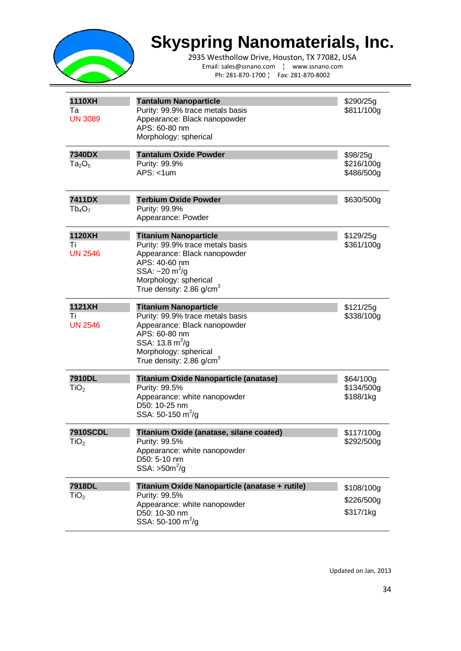

2935 Westhollow Drive, Houston, TX 77082, USA Email: sales@ssnano.com ¦ www.ssnano.com Ph: 281-870-1700 ¦ Fax: 281-870-8002

| 1110XH<br>Та<br><b>UN 3089</b>      | <b>Tantalum Nanoparticle</b><br>Purity: 99.9% trace metals basis<br>Appearance: Black nanopowder<br>APS: 60-80 nm<br>Morphology: spherical                                                                    | \$290/25g<br>\$811/100g               |
|-------------------------------------|---------------------------------------------------------------------------------------------------------------------------------------------------------------------------------------------------------------|---------------------------------------|
| 7340DX<br>$Ta_2O_5$                 | <b>Tantalum Oxide Powder</b><br>Purity: 99.9%<br>$APS: < 1$ um                                                                                                                                                | \$98/25g<br>\$216/100g<br>\$486/500g  |
| 7411DX<br>$Tb_4O_7$                 | <b>Terbium Oxide Powder</b><br>Purity: 99.9%<br>Appearance: Powder                                                                                                                                            | \$630/500g                            |
| 1120XH<br>Τi<br><b>UN 2546</b>      | <b>Titanium Nanoparticle</b><br>Purity: 99.9% trace metals basis<br>Appearance: Black nanopowder<br>APS: 40-60 nm<br>SSA: $\sim$ 20 m <sup>2</sup> /g<br>Morphology: spherical<br>True density: 2.86 g/cm $3$ | \$129/25g<br>\$361/100g               |
| 1121XH<br>Τi<br><b>UN 2546</b>      | <b>Titanium Nanoparticle</b><br>Purity: 99.9% trace metals basis<br>Appearance: Black nanopowder<br>APS: 60-80 nm<br>SSA: 13.8 $m^2/g$<br>Morphology: spherical<br>True density: $2.86$ g/cm <sup>3</sup>     | \$121/25q<br>\$338/100g               |
| 7910DL<br>TiO <sub>2</sub>          | Titanium Oxide Nanoparticle (anatase)<br>Purity: 99.5%<br>Appearance: white nanopowder<br>D50: 10-25 nm<br>SSA: 50-150 $\text{m}^2/\text{g}$                                                                  | \$64/100g<br>\$134/500g<br>\$188/1kg  |
| <b>7910SCDL</b><br>TiO <sub>2</sub> | Titanium Oxide (anatase, silane coated)<br>Purity: 99.5%<br>Appearance: white nanopowder<br>D50: 5-10 nm<br>$SSA: >50m^2/g$                                                                                   | \$117/100g<br>\$292/500g              |
| <b>7918DL</b><br>TiO <sub>2</sub>   | Titanium Oxide Nanoparticle (anatase + rutile)<br>Purity: 99.5%<br>Appearance: white nanopowder<br>D50: 10-30 nm<br>SSA: 50-100 $\text{m}^2/\text{g}$                                                         | \$108/100g<br>\$226/500g<br>\$317/1kg |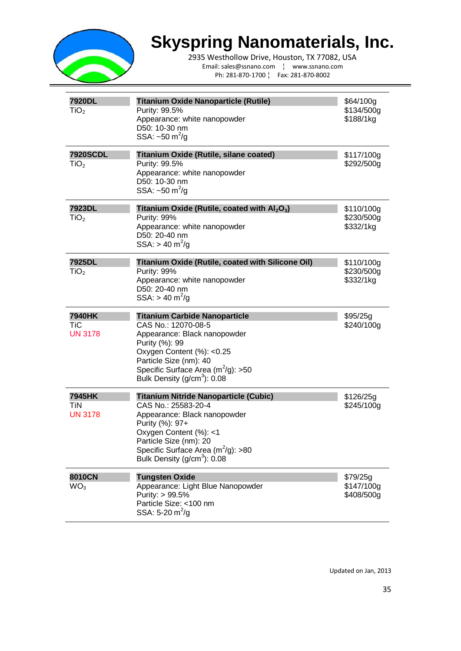

2935 Westhollow Drive, Houston, TX 77082, USA Email: sales@ssnano.com ¦ www.ssnano.com Ph: 281-870-1700 ¦ Fax: 281-870-8002

| 7920DL<br>TiO <sub>2</sub>             | <b>Titanium Oxide Nanoparticle (Rutile)</b><br>Purity: 99.5%<br>Appearance: white nanopowder<br>D50: 10-30 nm<br>SSA: $\sim$ 50 m <sup>2</sup> /g                                                                                                         | \$64/100g<br>\$134/500g<br>\$188/1kg  |
|----------------------------------------|-----------------------------------------------------------------------------------------------------------------------------------------------------------------------------------------------------------------------------------------------------------|---------------------------------------|
| <b>7920SCDL</b><br>TiO <sub>2</sub>    | Titanium Oxide (Rutile, silane coated)<br>Purity: 99.5%<br>Appearance: white nanopowder<br>D50: 10-30 nm<br>SSA: $\sim$ 50 m <sup>2</sup> /g                                                                                                              | \$117/100g<br>\$292/500g              |
| 7923DL<br>TiO <sub>2</sub>             | Titanium Oxide (Rutile, coated with $AI2O3$ )<br>Purity: 99%<br>Appearance: white nanopowder<br>D50: 20-40 nm<br>$SSA: > 40 \text{ m}^2/\text{g}$                                                                                                         | \$110/100g<br>\$230/500g<br>\$332/1kg |
| 7925DL<br>TiO <sub>2</sub>             | Titanium Oxide (Rutile, coated with Silicone Oil)<br>Purity: 99%<br>Appearance: white nanopowder<br>D50: 20-40 nm<br>SSA: $> 40 \text{ m}^2/\text{g}$                                                                                                     | \$110/100g<br>\$230/500g<br>\$332/1kg |
|                                        |                                                                                                                                                                                                                                                           |                                       |
| 7940HK<br><b>TiC</b><br><b>UN 3178</b> | <b>Titanium Carbide Nanoparticle</b><br>CAS No.: 12070-08-5<br>Appearance: Black nanopowder<br>Purity (%): 99<br>Oxygen Content (%): < 0.25<br>Particle Size (nm): 40<br>Specific Surface Area $(m^2/g)$ : >50<br>Bulk Density (g/cm <sup>3</sup> ): 0.08 | \$95/25g<br>\$240/100g                |
| 7945HK<br>TiN<br><b>UN 3178</b>        | Titanium Nitride Nanoparticle (Cubic)<br>CAS No.: 25583-20-4<br>Appearance: Black nanopowder<br>Purity (%): 97+<br>Oxygen Content (%): <1<br>Particle Size (nm): 20<br>Specific Surface Area $(m^2/g)$ : >80<br>Bulk Density (g/cm <sup>3</sup> ): 0.08   | \$126/25g<br>\$245/100g               |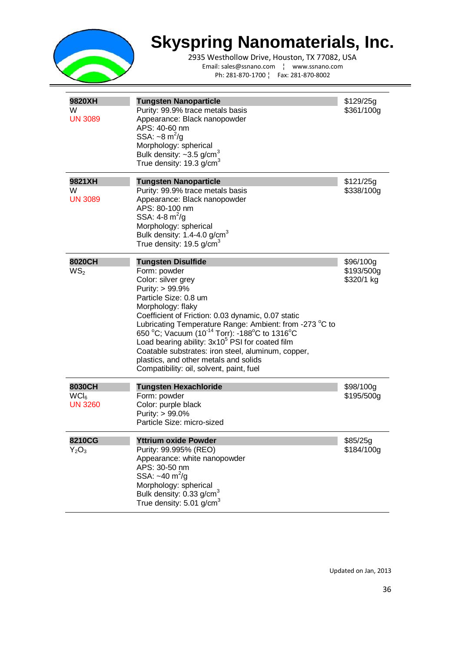

2935 Westhollow Drive, Houston, TX 77082, USA Email: sales@ssnano.com ¦ www.ssnano.com Ph: 281-870-1700 ¦ Fax: 281-870-8002

| 9820XH<br>W<br><b>UN 3089</b>                | <b>Tungsten Nanoparticle</b><br>Purity: 99.9% trace metals basis<br>Appearance: Black nanopowder<br>APS: 40-60 nm<br>SSA: $\sim$ 8 m <sup>2</sup> /g<br>Morphology: spherical<br>Bulk density: $\sim$ 3.5 g/cm <sup>3</sup><br>True density: 19.3 g/cm <sup>3</sup>                                                                                                                                                                                                                                                      | \$129/25q<br>\$361/100g               |
|----------------------------------------------|--------------------------------------------------------------------------------------------------------------------------------------------------------------------------------------------------------------------------------------------------------------------------------------------------------------------------------------------------------------------------------------------------------------------------------------------------------------------------------------------------------------------------|---------------------------------------|
| 9821XH<br>W<br><b>UN 3089</b>                | <b>Tungsten Nanoparticle</b><br>Purity: 99.9% trace metals basis<br>Appearance: Black nanopowder<br>APS: 80-100 nm<br>SSA: $4 - 8$ m <sup>2</sup> /g<br>Morphology: spherical<br>Bulk density: $1.4 - 4.0$ g/cm <sup>3</sup><br>True density: 19.5 g/cm <sup>3</sup>                                                                                                                                                                                                                                                     | \$121/25g<br>\$338/100g               |
| 8020CH<br>WS <sub>2</sub>                    | <b>Tungsten Disulfide</b><br>Form: powder<br>Color: silver grey<br>Purity: > 99.9%<br>Particle Size: 0.8 um<br>Morphology: flaky<br>Coefficient of Friction: 0.03 dynamic, 0.07 static<br>Lubricating Temperature Range: Ambient: from -273 °C to<br>650 °C; Vacuum (10 <sup>-14</sup> Torr): -188°C to 1316°C<br>Load bearing ability: 3x10 <sup>5</sup> PSI for coated film<br>Coatable substrates: iron steel, aluminum, copper,<br>plastics, and other metals and solids<br>Compatibility: oil, solvent, paint, fuel | \$96/100g<br>\$193/500g<br>\$320/1 kg |
| 8030CH<br>WCl <sub>6</sub><br><b>UN 3260</b> | <b>Tungsten Hexachloride</b><br>Form: powder<br>Color: purple black<br>Purity: > 99.0%<br>Particle Size: micro-sized                                                                                                                                                                                                                                                                                                                                                                                                     | \$98/100g<br>\$195/500g               |
| 8210CG<br>$Y_2O_3$                           | <b>Yttrium oxide Powder</b><br>Purity: 99.995% (REO)<br>Appearance: white nanopowder<br>APS: 30-50 nm<br>SSA: $~10 \text{ m}^2/\text{g}$<br>Morphology: spherical<br>Bulk density: 0.33 g/cm <sup>3</sup><br>True density: $5.01$ g/cm <sup>3</sup>                                                                                                                                                                                                                                                                      | \$85/25g<br>\$184/100g                |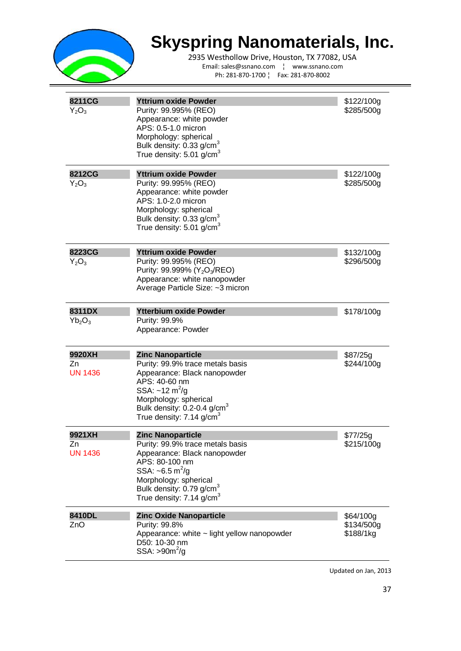

2935 Westhollow Drive, Houston, TX 77082, USA Email: sales@ssnano.com ¦ www.ssnano.com Ph: 281-870-1700 ¦ Fax: 281-870-8002

| 8211CG<br>$Y_2O_3$             | <b>Yttrium oxide Powder</b><br>Purity: 99.995% (REO)<br>Appearance: white powder<br>APS: 0.5-1.0 micron<br>Morphology: spherical<br>Bulk density: 0.33 g/cm <sup>3</sup><br>True density: 5.01 g/cm <sup>3</sup>                                                  | \$122/100g<br>\$285/500g             |
|--------------------------------|-------------------------------------------------------------------------------------------------------------------------------------------------------------------------------------------------------------------------------------------------------------------|--------------------------------------|
| 8212CG<br>$Y_2O_3$             | <b>Yttrium oxide Powder</b><br>Purity: 99.995% (REO)<br>Appearance: white powder<br>APS: 1.0-2.0 micron<br>Morphology: spherical<br>Bulk density: 0.33 g/cm <sup>3</sup><br>True density: 5.01 g/cm <sup>3</sup>                                                  | \$122/100g<br>\$285/500g             |
| 8223CG<br>$Y_2O_3$             | <b>Yttrium oxide Powder</b><br>Purity: 99.995% (REO)<br>Purity: 99.999% (Y <sub>2</sub> O <sub>3</sub> /REO)<br>Appearance: white nanopowder<br>Average Particle Size: ~3 micron                                                                                  | \$132/100g<br>\$296/500g             |
| 8311DX<br>$Yb_2O_3$            | <b>Ytterbium oxide Powder</b><br>Purity: 99.9%<br>Appearance: Powder                                                                                                                                                                                              | \$178/100g                           |
| 9920XH<br>Zn<br><b>UN 1436</b> | <b>Zinc Nanoparticle</b><br>Purity: 99.9% trace metals basis<br>Appearance: Black nanopowder<br>APS: 40-60 nm<br>SSA: ~12 m <sup>2</sup> /g<br>Morphology: spherical<br>Bulk density: 0.2-0.4 g/cm <sup>3</sup><br>True density: 7.14 g/cm $3$                    | \$87/25g<br>\$244/100g               |
| 9921XH<br>Zn<br><b>UN 1436</b> | <b>Zinc Nanoparticle</b><br>Purity: 99.9% trace metals basis<br>Appearance: Black nanopowder<br>APS: 80-100 nm<br>SSA: $\sim 6.5 \text{ m}^2/\text{g}$<br>Morphology: spherical<br>Bulk density: 0.79 g/cm <sup>3</sup><br>True density: $7.14$ g/cm <sup>3</sup> | \$77/25g<br>\$215/100g               |
| 8410DL<br>ZnO                  | <b>Zinc Oxide Nanoparticle</b><br>Purity: 99.8%<br>Appearance: white ~ light yellow nanopowder<br>D50: 10-30 nm<br>SSA: $>902/g$                                                                                                                                  | \$64/100g<br>\$134/500g<br>\$188/1kg |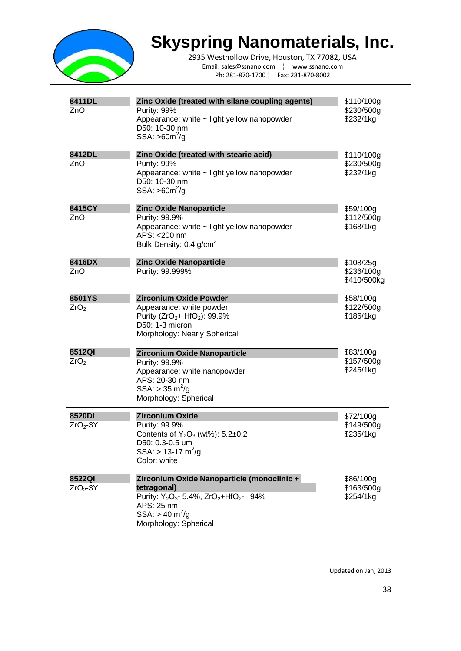

2935 Westhollow Drive, Houston, TX 77082, USA Email: sales@ssnano.com ¦ www.ssnano.com Ph: 281-870-1700 ¦ Fax: 281-870-8002

| 8411DL<br>ZnO              | Zinc Oxide (treated with silane coupling agents)<br>Purity: 99%<br>Appearance: white ~ light yellow nanopowder<br>D50: 10-30 nm<br>$SSA: >60m^2/g$                                                        | \$110/100g<br>\$230/500g<br>\$232/1kg  |
|----------------------------|-----------------------------------------------------------------------------------------------------------------------------------------------------------------------------------------------------------|----------------------------------------|
| 8412DL<br>ZnO              | Zinc Oxide (treated with stearic acid)<br>Purity: 99%<br>Appearance: white ~ light yellow nanopowder<br>D50: 10-30 nm<br>$SSA: >60m^2/g$                                                                  | \$110/100g<br>\$230/500g<br>\$232/1kg  |
| 8415CY<br>ZnO              | <b>Zinc Oxide Nanoparticle</b><br>Purity: 99.9%<br>Appearance: white ~ light yellow nanopowder<br>APS: < 200 nm<br>Bulk Density: 0.4 g/cm <sup>3</sup>                                                    | \$59/100g<br>\$112/500g<br>\$168/1kg   |
| 8416DX<br>ZnO              | <b>Zinc Oxide Nanoparticle</b><br>Purity: 99.999%                                                                                                                                                         | \$108/25g<br>\$236/100g<br>\$410/500kg |
| 8501YS<br>ZrO <sub>2</sub> | <b>Zirconium Oxide Powder</b><br>Appearance: white powder<br>Purity (ZrO <sub>2</sub> + HfO <sub>2</sub> ): 99.9%<br>D50: 1-3 micron<br>Morphology: Nearly Spherical                                      | \$58/100g<br>\$122/500g<br>\$186/1kg   |
| 8512QI<br>ZrO <sub>2</sub> | Zirconium Oxide Nanoparticle<br>Purity: 99.9%<br>Appearance: white nanopowder<br>APS: 20-30 nm<br>$SSA: > 35 \text{ m}^2/\text{g}$<br>Morphology: Spherical                                               | \$83/100g<br>\$157/500g<br>\$245/1kg   |
| 8520DL<br>$ZrO2-3Y$        | <b>Zirconium Oxide</b><br>Purity: 99.9%<br>Contents of $Y_2O_3$ (wt%): 5.2 $\pm$ 0.2<br>D50: 0.3-0.5 um<br>$SSA:$ > 13-17 m <sup>2</sup> /g<br>Color: white                                               | \$72/100g<br>\$149/500g<br>\$235/1kg   |
| 8522QI<br>$ZrO2-3Y$        | Zirconium Oxide Nanoparticle (monoclinic +<br>tetragonal)<br>Purity: $Y_2O_3$ - 5.4%, ZrO <sub>2</sub> +HfO <sub>2</sub> - 94%<br>APS: 25 nm<br>$SSA: > 40 \text{ m}^2/\text{g}$<br>Morphology: Spherical | \$86/100g<br>\$163/500g<br>\$254/1kg   |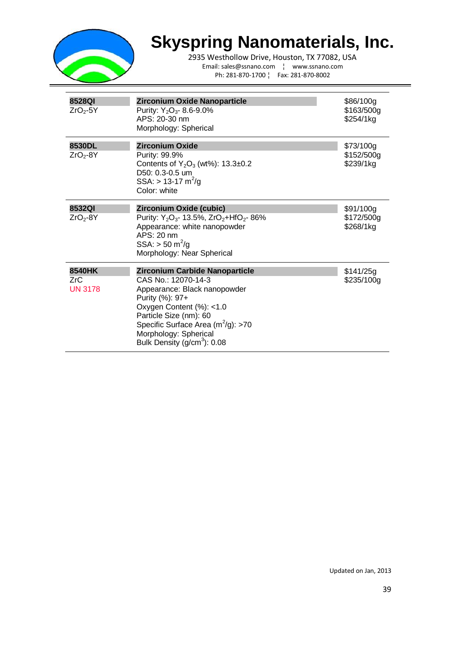

| 8528QI<br>$ZrO2-5Y$             | Zirconium Oxide Nanoparticle<br>Purity: $Y_2O_3$ - 8.6-9.0%<br>APS: 20-30 nm<br>Morphology: Spherical                                                                                                                                                             | \$86/100g<br>\$163/500g<br>\$254/1kg |
|---------------------------------|-------------------------------------------------------------------------------------------------------------------------------------------------------------------------------------------------------------------------------------------------------------------|--------------------------------------|
| 8530DL<br>$ZrO2-8Y$             | <b>Zirconium Oxide</b><br>Purity: 99.9%<br>Contents of $Y_2O_3$ (wt%): 13.3±0.2<br>D50: 0.3-0.5 um<br>$SSA:$ > 13-17 m <sup>2</sup> /g<br>Color: white                                                                                                            | \$73/100g<br>\$152/500g<br>\$239/1kg |
| 8532QI<br>$ZrO2-8Y$             | Zirconium Oxide (cubic)<br>Purity: $Y_2O_3$ - 13.5%, ZrO <sub>2</sub> +HfO <sub>2</sub> -86%<br>Appearance: white nanopowder<br>APS: 20 nm<br>$SSA:$ > 50 m <sup>2</sup> /g<br>Morphology: Near Spherical                                                         | \$91/100g<br>\$172/500g<br>\$268/1kg |
| 8540HK<br>ZrC<br><b>UN 3178</b> | Zirconium Carbide Nanoparticle<br>CAS No.: 12070-14-3<br>Appearance: Black nanopowder<br>Purity (%): 97+<br>Oxygen Content (%): <1.0<br>Particle Size (nm): 60<br>Specific Surface Area $(m^2/g)$ : >70<br>Morphology: Spherical<br>Bulk Density $(g/cm3)$ : 0.08 | \$141/25g<br>\$235/100g              |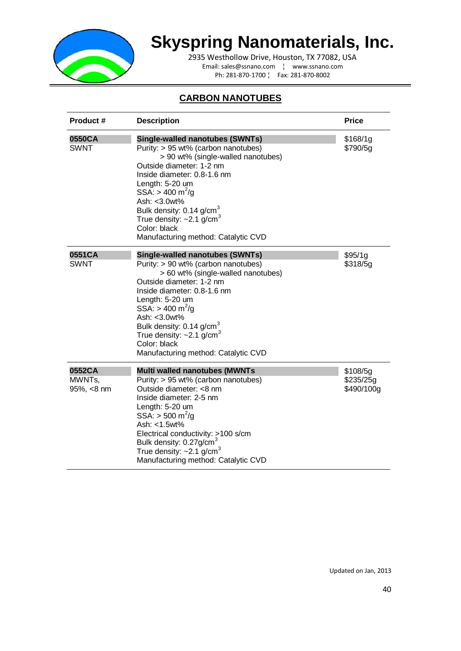

2935 Westhollow Drive, Houston, TX 77082, USA Email: sales@ssnano.com ¦ www.ssnano.com Ph: 281-870-1700 ¦ Fax: 281-870-8002

#### **CARBON NANOTUBES**

| Product #                      | <b>Description</b>                                                                                                                                                                                                                                                                                                                                                                                   | <b>Price</b>                        |
|--------------------------------|------------------------------------------------------------------------------------------------------------------------------------------------------------------------------------------------------------------------------------------------------------------------------------------------------------------------------------------------------------------------------------------------------|-------------------------------------|
| 0550CA<br><b>SWNT</b>          | <b>Single-walled nanotubes (SWNTs)</b><br>Purity: > 95 wt% (carbon nanotubes)<br>> 90 wt% (single-walled nanotubes)<br>Outside diameter: 1-2 nm<br>Inside diameter: 0.8-1.6 nm<br>Length: 5-20 um<br>SSA: $> 400 \text{ m}^2/\text{g}$<br>Ash: <3.0wt%<br>Bulk density: 0.14 g/cm <sup>3</sup><br>True density: $\sim$ 2.1 g/cm <sup>3</sup><br>Color: black<br>Manufacturing method: Catalytic CVD  | \$168/1g<br>\$790/5g                |
| 0551CA<br><b>SWNT</b>          | <b>Single-walled nanotubes (SWNTs)</b><br>Purity: > 90 wt% (carbon nanotubes)<br>> 60 wt% (single-walled nanotubes)<br>Outside diameter: 1-2 nm<br>Inside diameter: 0.8-1.6 nm<br>Length: 5-20 um<br>$SSA: > 400 \text{ m}^2/\text{g}$<br>Ash: < 3.0wt%<br>Bulk density: 0.14 g/cm <sup>3</sup><br>True density: $\sim$ 2.1 g/cm <sup>3</sup><br>Color: black<br>Manufacturing method: Catalytic CVD | \$95/1g<br>\$318/5g                 |
| 0552CA<br>MWNTs,<br>95%, <8 nm | <b>Multi walled nanotubes (MWNTs</b><br>Purity: > 95 wt% (carbon nanotubes)<br>Outside diameter: <8 nm<br>Inside diameter: 2-5 nm<br>Length: 5-20 um<br>SSA: $>$ 500 m <sup>2</sup> /g<br>Ash: <1.5wt%<br>Electrical conductivity: >100 s/cm<br>Bulk density: 0.27g/cm <sup>3</sup><br>True density: $\sim$ 2.1 g/cm <sup>3</sup><br>Manufacturing method: Catalytic CVD                             | \$108/5g<br>\$235/25g<br>\$490/100g |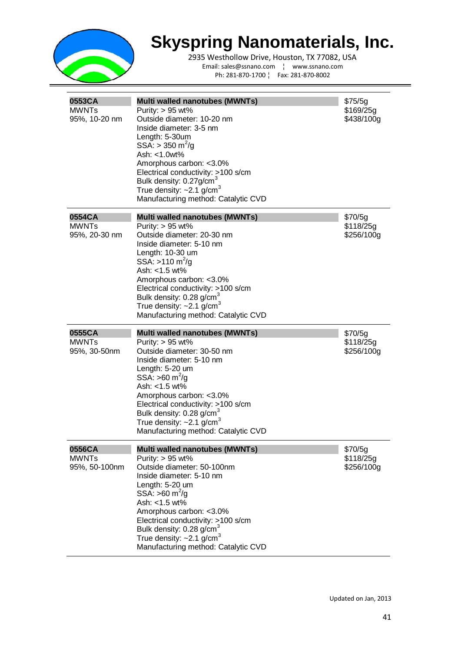

| 0553CA<br><b>MWNTs</b><br>95%, 10-20 nm | <b>Multi walled nanotubes (MWNTs)</b><br>Purity: $> 95$ wt%<br>Outside diameter: 10-20 nm<br>Inside diameter: 3-5 nm<br>Length: 5-30um<br>$SSA: > 350 \text{ m}^2/\text{g}$<br>Ash: <1.0wt%<br>Amorphous carbon: <3.0%<br>Electrical conductivity: >100 s/cm<br>Bulk density: 0.27g/cm <sup>3</sup><br>True density: $\sim$ 2.1 g/cm <sup>3</sup><br>Manufacturing method: Catalytic CVD       | \$75/5g<br>\$169/25g<br>\$438/100g |
|-----------------------------------------|------------------------------------------------------------------------------------------------------------------------------------------------------------------------------------------------------------------------------------------------------------------------------------------------------------------------------------------------------------------------------------------------|------------------------------------|
| 0554CA<br><b>MWNTs</b><br>95%, 20-30 nm | <b>Multi walled nanotubes (MWNTs)</b><br>Purity: $> 95$ wt%<br>Outside diameter: 20-30 nm<br>Inside diameter: 5-10 nm<br>Length: 10-30 um<br>SSA: >110 $\text{m}^2/\text{g}$<br>Ash: $<$ 1.5 wt%<br>Amorphous carbon: <3.0%<br>Electrical conductivity: >100 s/cm<br>Bulk density: 0.28 g/cm <sup>3</sup><br>True density: $\sim$ 2.1 g/cm <sup>3</sup><br>Manufacturing method: Catalytic CVD | \$70/5g<br>\$118/25g<br>\$256/100g |
|                                         |                                                                                                                                                                                                                                                                                                                                                                                                |                                    |
| 0555CA<br><b>MWNTs</b><br>95%, 30-50nm  | Multi walled nanotubes (MWNTs)<br>Purity: $> 95$ wt%<br>Outside diameter: 30-50 nm<br>Inside diameter: 5-10 nm<br>Length: 5-20 um<br>SSA: $>60 \text{ m}^2/\text{g}$<br>Ash: $<$ 1.5 wt%<br>Amorphous carbon: <3.0%<br>Electrical conductivity: >100 s/cm<br>Bulk density: $0.28$ g/cm <sup>3</sup><br>True density: $\sim$ 2.1 g/cm <sup>3</sup><br>Manufacturing method: Catalytic CVD       | \$70/5g<br>\$118/25g<br>\$256/100g |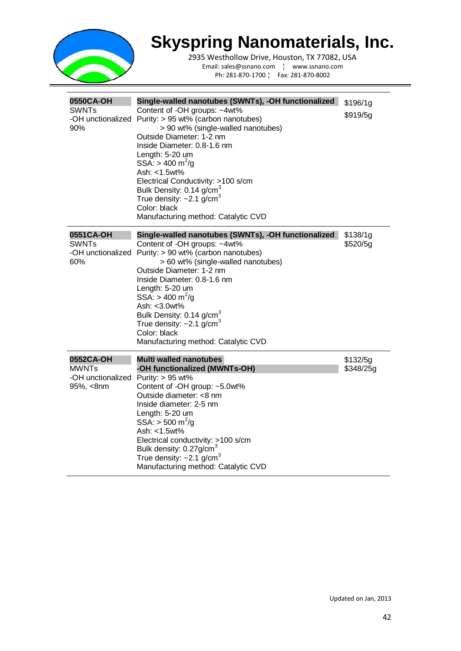

| 0550CA-OH<br><b>SWNTs</b><br>90%                            | Single-walled nanotubes (SWNTs), -OH functionalized<br>Content of -OH groups: ~4wt%<br>-OH unctionalized Purity: > 95 wt% (carbon nanotubes)<br>> 90 wt% (single-walled nanotubes)<br>Outside Diameter: 1-2 nm<br>Inside Diameter: 0.8-1.6 nm<br>Length: 5-20 um<br>SSA: $> 400 \text{ m}^2/\text{g}$<br>Ash: <1.5wt%<br>Electrical Conductivity: >100 s/cm<br>Bulk Density: 0.14 g/cm <sup>3</sup><br>True density: $\sim$ 2.1 g/cm <sup>3</sup><br>Color: black<br>Manufacturing method: Catalytic CVD | \$196/1g<br>\$919/5g  |
|-------------------------------------------------------------|----------------------------------------------------------------------------------------------------------------------------------------------------------------------------------------------------------------------------------------------------------------------------------------------------------------------------------------------------------------------------------------------------------------------------------------------------------------------------------------------------------|-----------------------|
| 0551CA-OH<br><b>SWNTs</b><br>-OH unctionalized<br>60%       | Single-walled nanotubes (SWNTs), -OH functionalized<br>Content of -OH groups: ~4wt%<br>Purity: > 90 wt% (carbon nanotubes)<br>> 60 wt% (single-walled nanotubes)<br>Outside Diameter: 1-2 nm<br>Inside Diameter: 0.8-1.6 nm<br>Length: 5-20 um<br>$SSA: > 400 \text{ m}^2/\text{g}$<br>Ash: < 3.0wt%<br>Bulk Density: 0.14 g/cm <sup>3</sup><br>True density: $\sim$ 2.1 g/cm <sup>3</sup><br>Color: black<br>Manufacturing method: Catalytic CVD                                                        | \$138/1g<br>\$520/5g  |
| 0552CA-OH<br><b>MWNTs</b><br>-OH unctionalized<br>95%, <8nm | <b>Multi walled nanotubes</b><br>-OH functionalized (MWNTs-OH)<br>Purity: $> 95$ wt%<br>Content of -OH group: ~5.0wt%<br>Outside diameter: <8 nm<br>Inside diameter: 2-5 nm<br>Length: 5-20 um<br>SSA: $>$ 500 m <sup>2</sup> /g<br>Ash: <1.5wt%<br>Electrical conductivity: >100 s/cm<br>Bulk density: 0.27g/cm <sup>3</sup><br>True density: $\sim$ 2.1 g/cm <sup>3</sup><br>Manufacturing method: Catalytic CVD                                                                                       | \$132/5g<br>\$348/25g |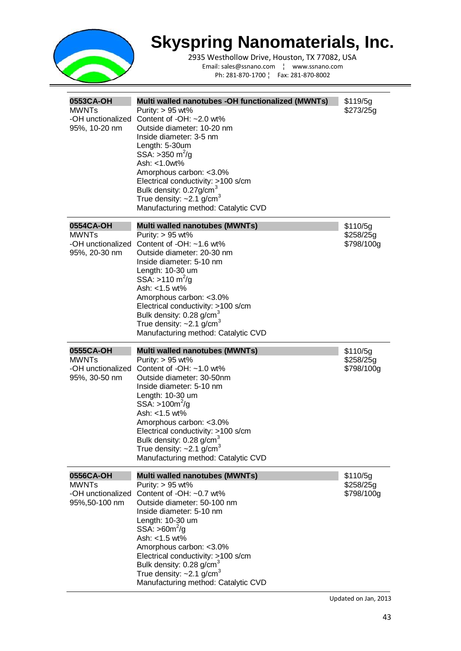

2935 Westhollow Drive, Houston, TX 77082, USA Email: sales@ssnano.com ¦ www.ssnano.com Ph: 281-870-1700 ¦ Fax: 281-870-8002

| 0553CA-OH<br><b>MWNTs</b><br>-OH unctionalized<br>95%, 10-20 nm | Multi walled nanotubes -OH functionalized (MWNTs)<br>Purity: $> 95$ wt%<br>Content of -OH: ~2.0 wt%<br>Outside diameter: 10-20 nm<br>Inside diameter: 3-5 nm<br>Length: 5-30um<br>SSA: $>350 \text{ m}^2/\text{g}$<br>Ash: <1.0wt%<br>Amorphous carbon: <3.0%<br>Electrical conductivity: >100 s/cm<br>Bulk density: 0.27g/cm <sup>3</sup><br>True density: $\sim$ 2.1 g/cm <sup>3</sup><br>Manufacturing method: Catalytic CVD | \$119/5g<br>\$273/25g               |
|-----------------------------------------------------------------|---------------------------------------------------------------------------------------------------------------------------------------------------------------------------------------------------------------------------------------------------------------------------------------------------------------------------------------------------------------------------------------------------------------------------------|-------------------------------------|
| 0554CA-OH<br><b>MWNTs</b><br>-OH unctionalized<br>95%, 20-30 nm | Multi walled nanotubes (MWNTs)<br>Purity: $> 95$ wt%<br>Content of $-OH: -1.6$ wt%<br>Outside diameter: 20-30 nm<br>Inside diameter: 5-10 nm<br>Length: 10-30 um<br>SSA: >110 m <sup>2</sup> /g<br>Ash: <1.5 wt%<br>Amorphous carbon: < 3.0%<br>Electrical conductivity: >100 s/cm<br>Bulk density: 0.28 g/cm <sup>3</sup><br>True density: $\sim$ 2.1 g/cm <sup>3</sup><br>Manufacturing method: Catalytic CVD                 | \$110/5g<br>\$258/25g<br>\$798/100g |
| 0555CA-OH                                                       |                                                                                                                                                                                                                                                                                                                                                                                                                                 |                                     |
| <b>MWNTs</b><br>-OH unctionalized<br>95%, 30-50 nm              | Multi walled nanotubes (MWNTs)<br>Purity: $> 95$ wt%<br>Content of $-OH: ~1.0$ wt%<br>Outside diameter: 30-50nm<br>Inside diameter: 5-10 nm<br>Length: 10-30 um<br>$SSA: > 100m^2/q$<br>Ash: <1.5 wt%<br>Amorphous carbon: <3.0%<br>Electrical conductivity: >100 s/cm<br>Bulk density: 0.28 g/cm <sup>3</sup><br>True density: $\sim$ 2.1 g/cm <sup>3</sup><br>Manufacturing method: Catalytic CVD                             | \$110/5g<br>\$258/25g<br>\$798/100g |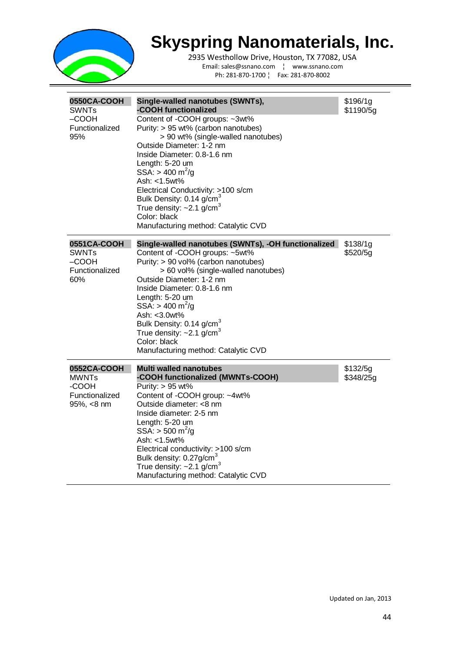

| 0550CA-COOH<br><b>SWNTs</b><br>$-COOH$<br>Functionalized<br>95%      | Single-walled nanotubes (SWNTs),<br>-COOH functionalized<br>Content of -COOH groups: ~3wt%<br>Purity: > 95 wt% (carbon nanotubes)<br>> 90 wt% (single-walled nanotubes)<br>Outside Diameter: 1-2 nm<br>Inside Diameter: 0.8-1.6 nm<br>Length: 5-20 um<br>$SSA: > 400 \text{ m}^2/\text{g}$<br>Ash: <1.5wt%<br>Electrical Conductivity: >100 s/cm<br>Bulk Density: 0.14 g/cm <sup>3</sup><br>True density: $\sim$ 2.1 g/cm <sup>3</sup><br>Color: black<br>Manufacturing method: Catalytic CVD | \$196/1g<br>\$1190/5g |
|----------------------------------------------------------------------|-----------------------------------------------------------------------------------------------------------------------------------------------------------------------------------------------------------------------------------------------------------------------------------------------------------------------------------------------------------------------------------------------------------------------------------------------------------------------------------------------|-----------------------|
| 0551CA-COOH<br><b>SWNTs</b><br>–COOH<br>Functionalized<br>60%        | Single-walled nanotubes (SWNTs), -OH functionalized<br>Content of -COOH groups: ~5wt%<br>Purity: > 90 vol% (carbon nanotubes)<br>> 60 vol% (single-walled nanotubes)<br>Outside Diameter: 1-2 nm<br>Inside Diameter: 0.8-1.6 nm<br>Length: 5-20 um<br>$SSA: > 400 \text{ m}^2/\text{g}$<br>Ash: $<$ 3.0 $wt\%$<br>Bulk Density: 0.14 g/cm <sup>3</sup><br>True density: $\sim$ 2.1 g/cm <sup>3</sup><br>Color: black<br>Manufacturing method: Catalytic CVD                                   | \$138/1g<br>\$520/5g  |
| 0552CA-COOH<br><b>MWNTs</b><br>-COOH<br>Functionalized<br>95%, <8 nm | <b>Multi walled nanotubes</b><br>-COOH functionalized (MWNTs-COOH)<br>Purity: > 95 wt%<br>Content of -COOH group: ~4wt%<br>Outside diameter: <8 nm<br>Inside diameter: 2-5 nm<br>Length: 5-20 um<br>$SSA: > 500 \text{ m}^2/\text{g}$<br>Ash: <1.5wt%<br>Electrical conductivity: >100 s/cm<br>Bulk density: 0.27g/cm <sup>3</sup><br>True density: $\sim$ 2.1 g/cm <sup>3</sup><br>Manufacturing method: Catalytic CVD                                                                       | \$132/5g<br>\$348/25g |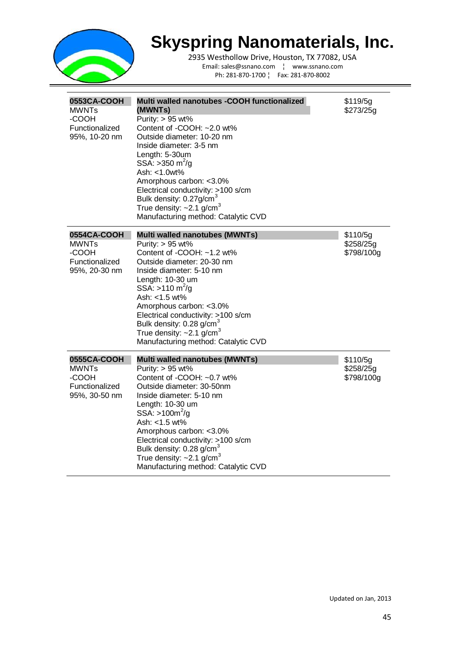

| 0553CA-COOH<br><b>MWNTs</b><br>-COOH<br>Functionalized<br>95%, 10-20 nm | Multi walled nanotubes -COOH functionalized<br>(MWNTs)<br>Purity: $> 95$ wt%<br>Content of -COOH: ~2.0 wt%<br>Outside diameter: 10-20 nm<br>Inside diameter: 3-5 nm<br>Length: 5-30um<br>SSA: > 350 m <sup>2</sup> /g<br>Ash: <1.0wt%<br>Amorphous carbon: < 3.0%<br>Electrical conductivity: >100 s/cm<br>Bulk density: 0.27g/cm <sup>3</sup><br>True density: $\sim$ 2.1 g/cm $^3$<br>Manufacturing method: Catalytic CVD | \$119/5g<br>\$273/25q               |
|-------------------------------------------------------------------------|-----------------------------------------------------------------------------------------------------------------------------------------------------------------------------------------------------------------------------------------------------------------------------------------------------------------------------------------------------------------------------------------------------------------------------|-------------------------------------|
| 0554CA-COOH<br><b>MWNTs</b><br>-COOH<br>Functionalized<br>95%, 20-30 nm | <b>Multi walled nanotubes (MWNTs)</b><br>Purity: $> 95$ wt%<br>Content of -COOH: ~1.2 wt%<br>Outside diameter: 20-30 nm<br>Inside diameter: 5-10 nm<br>Length: 10-30 um<br>SSA: >110 m <sup>2</sup> /g<br>Ash: <1.5 wt%<br>Amorphous carbon: < 3.0%<br>Electrical conductivity: >100 s/cm<br>Bulk density: 0.28 g/cm <sup>3</sup><br>True density: $\sim$ 2.1 g/cm <sup>3</sup><br>Manufacturing method: Catalytic CVD      | \$110/5g<br>\$258/25g<br>\$798/100g |
| 0555CA-COOH<br><b>MWNTs</b><br>-COOH<br>Functionalized<br>95%, 30-50 nm | <b>Multi walled nanotubes (MWNTs)</b><br>Purity: > 95 wt%<br>Content of -COOH: ~0.7 wt%<br>Outside diameter: 30-50nm<br>Inside diameter: 5-10 nm<br>Length: 10-30 um<br>$SSA: > 100m^2/g$<br>Ash: <1.5 wt%<br>Amorphous carbon: <3.0%<br>Electrical conductivity: >100 s/cm<br>Bulk density: 0.28 g/cm <sup>3</sup><br>True density: $\sim$ 2.1 g/cm <sup>3</sup><br>Manufacturing method: Catalytic CVD                    | \$110/5g<br>\$258/25g<br>\$798/100g |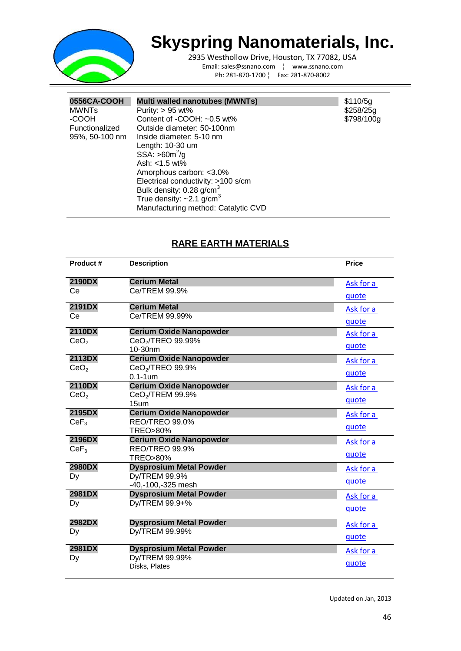

2935 Westhollow Drive, Houston, TX 77082, USA Email: sales@ssnano.com ¦ www.ssnano.com Ph: 281-870-1700 ¦ Fax: 281-870-8002

| 0556CA-COOH    | Multi walled nanotubes (MWNTs)             | \$110/5q   |
|----------------|--------------------------------------------|------------|
| <b>MWNTs</b>   | Purity: $> 95$ wt%                         | \$258/25g  |
| -COOH          | Content of -COOH: ~0.5 wt%                 | \$798/100g |
| Functionalized | Outside diameter: 50-100nm                 |            |
| 95%, 50-100 nm | Inside diameter: 5-10 nm                   |            |
|                | Length: 10-30 um                           |            |
|                | $SSA: >60m^2/q$                            |            |
|                | Ash: $<$ 1.5 wt%                           |            |
|                | Amorphous carbon: <3.0%                    |            |
|                | Electrical conductivity: >100 s/cm         |            |
|                | Bulk density: 0.28 g/cm <sup>3</sup>       |            |
|                | True density: $\sim$ 2.1 g/cm <sup>3</sup> |            |
|                | Manufacturing method: Catalytic CVD        |            |

#### **RARE EARTH MATERIALS**

| Product#         | <b>Description</b>                                 | <b>Price</b> |
|------------------|----------------------------------------------------|--------------|
| 2190DX           | <b>Cerium Metal</b>                                | Ask for a    |
| Ce               | Ce/TREM 99.9%                                      | quote        |
| 2191DX           | <b>Cerium Metal</b>                                | Ask for a    |
| Ce               | Ce/TREM 99.99%                                     | quote        |
| 2110DX           | <b>Cerium Oxide Nanopowder</b>                     | Ask for a    |
| CeO <sub>2</sub> | CeO <sub>2</sub> /TREO 99.99%<br>10-30nm           | quote        |
| 2113DX           | <b>Cerium Oxide Nanopowder</b>                     | Ask for a    |
| CeO <sub>2</sub> | CeO <sub>2</sub> /TREO 99.9%                       |              |
|                  | $0.1 - 1$ um                                       | quote        |
| 2110DX           | <b>Cerium Oxide Nanopowder</b>                     | Ask for a    |
| CeO <sub>2</sub> | CeO <sub>2</sub> /TREM 99.9%                       | quote        |
| 2195DX           | 15 <sub>um</sub><br><b>Cerium Oxide Nanopowder</b> |              |
| CeF <sub>3</sub> | <b>REO/TREO 99.0%</b>                              | Ask for a    |
|                  | <b>TREO&gt;80%</b>                                 | quote        |
| 2196DX           | <b>Cerium Oxide Nanopowder</b>                     | Ask for a    |
| CeF <sub>3</sub> | REO/TREO 99.9%                                     |              |
|                  | <b>TREO&gt;80%</b>                                 | quote        |
| 2980DX           | <b>Dysprosium Metal Powder</b>                     | Ask for a    |
| Dy               | Dy/TREM 99.9%                                      | quote        |
|                  | -40,-100,-325 mesh                                 |              |
| 2981DX           | <b>Dysprosium Metal Powder</b>                     | Ask for a    |
| Dy               | Dy/TREM 99.9+%                                     | quote        |
| 2982DX           | <b>Dysprosium Metal Powder</b>                     | Ask for a    |
| Dy               | Dy/TREM 99.99%                                     | quote        |
| 2981DX           | <b>Dysprosium Metal Powder</b>                     | Ask for a    |
| Dy               | Dy/TREM 99.99%                                     |              |
|                  | Disks, Plates                                      | quote        |
|                  |                                                    |              |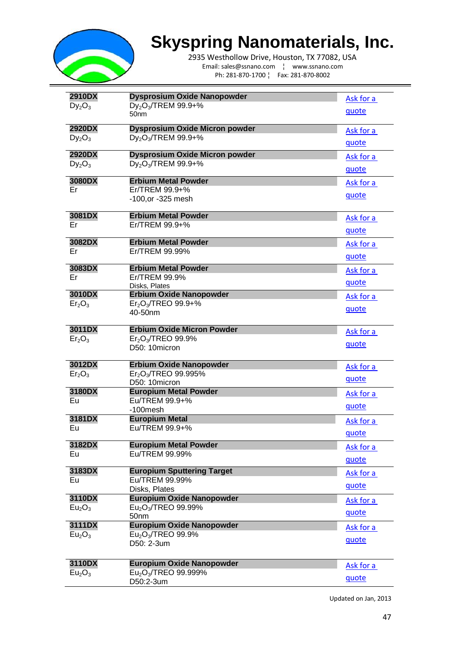

2935 Westhollow Drive, Houston, TX 77082, USA Email: sales@ssnano.com ¦ www.ssnano.com Ph: 281-870-1700 ¦ Fax: 281-870-8002

| <b>2910DX</b>                            | Dysprosium Oxide Nanopowder                                                     | Ask for a |
|------------------------------------------|---------------------------------------------------------------------------------|-----------|
| $Dy_2O_3$                                | Dy <sub>2</sub> O <sub>3</sub> /TREM 99.9+%<br>50 <sub>nm</sub>                 | quote     |
| 2920DX                                   | <b>Dysprosium Oxide Micron powder</b>                                           | Ask for a |
| $Dy_2O_3$                                | Dy <sub>2</sub> O <sub>3</sub> /TREM 99.9+%                                     | quote     |
| 2920DX                                   | <b>Dysprosium Oxide Micron powder</b>                                           | Ask for a |
| $Dy_2O_3$                                | Dy <sub>2</sub> O <sub>3</sub> /TREM 99.9+%                                     | quote     |
| 3080DX<br>Er                             | <b>Erbium Metal Powder</b><br>Er/TREM 99.9+%                                    | Ask for a |
|                                          | -100, or -325 mesh                                                              | quote     |
| 3081DX                                   | <b>Erbium Metal Powder</b>                                                      | Ask for a |
| Er                                       | $Er/TREM$ 99.9+%                                                                | quote     |
| 3082DX                                   | <b>Erbium Metal Powder</b>                                                      | Ask for a |
| Er                                       | Er/TREM 99.99%                                                                  | quote     |
| 3083DX                                   | <b>Erbium Metal Powder</b>                                                      | Ask for a |
| Er                                       | Er/TREM 99.9%<br>Disks, Plates                                                  | quote     |
| 3010DX                                   | <b>Erbium Oxide Nanopowder</b>                                                  | Ask for a |
| Er <sub>2</sub> O <sub>3</sub>           | Er <sub>2</sub> O <sub>3</sub> /TREO 99.9+%<br>40-50nm                          | quote     |
|                                          |                                                                                 |           |
| 3011DX<br>Er <sub>2</sub> O <sub>3</sub> | <b>Erbium Oxide Micron Powder</b><br>Er <sub>2</sub> O <sub>3</sub> /TREO 99.9% | Ask for a |
|                                          | D50: 10micron                                                                   | quote     |
| 3012DX                                   | <b>Erbium Oxide Nanopowder</b>                                                  | Ask for a |
| Er <sub>2</sub> O <sub>3</sub>           | Er <sub>2</sub> O <sub>3</sub> /TREO 99.995%<br>D50: 10micron                   | quote     |
| 3180DX                                   | <b>Europium Metal Powder</b>                                                    | Ask for a |
| Eu                                       | Eu/TREM 99.9+%                                                                  | quote     |
| 3181DX                                   | $-100$ mesh<br><b>Europium Metal</b>                                            |           |
| Eu                                       | Eu/TREM 99.9+%                                                                  | Ask for a |
| 3182DX                                   |                                                                                 | quote     |
| Eu                                       | <b>Europium Metal Powder</b><br>Eu/TREM 99.99%                                  | Ask for a |
|                                          |                                                                                 | quote     |
| 3183DX                                   | <b>Europium Sputtering Target</b>                                               | Ask for a |
| Eu                                       | Eu/TREM 99.99%<br>Disks, Plates                                                 | quote     |
| 3110DX                                   | <b>Europium Oxide Nanopowder</b>                                                | Ask for a |
| Eu <sub>2</sub> O <sub>3</sub>           | Eu <sub>2</sub> O <sub>3</sub> /TREO 99.99%<br>50nm                             | quote     |
| 3111DX                                   | <b>Europium Oxide Nanopowder</b>                                                | Ask for a |
| Eu <sub>2</sub> O <sub>3</sub>           | Eu <sub>2</sub> O <sub>3</sub> /TREO 99.9%                                      | quote     |
|                                          | D50: 2-3um                                                                      |           |
| 3110DX                                   | <b>Europium Oxide Nanopowder</b>                                                | Ask for a |
| Eu <sub>2</sub> O <sub>3</sub>           | Eu <sub>2</sub> O <sub>3</sub> /TREO 99.999%<br>D50:2-3um                       | quote     |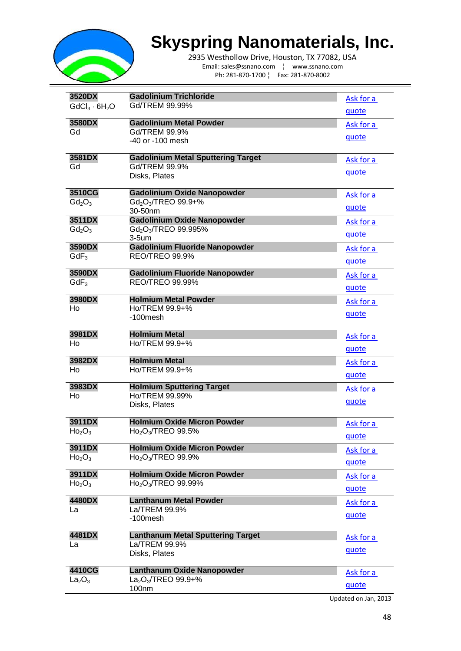

2935 Westhollow Drive, Houston, TX 77082, USA Email: sales@ssnano.com ¦ www.ssnano.com Ph: 281-870-1700 ¦ Fax: 281-870-8002

| 3520DX                         | <b>Gadolinium Trichloride</b>                            | Ask for a |
|--------------------------------|----------------------------------------------------------|-----------|
| $GdCl_3 \cdot 6H_2O$           | Gd/TREM 99.99%                                           | quote     |
|                                |                                                          |           |
| 3580DX<br>Gd                   | <b>Gadolinium Metal Powder</b><br>Gd/TREM 99.9%          | Ask for a |
|                                | -40 or -100 mesh                                         | quote     |
|                                |                                                          |           |
| 3581DX                         | <b>Gadolinium Metal Sputtering Target</b>                | Ask for a |
| Gd                             | Gd/TREM 99.9%                                            | quote     |
|                                | Disks, Plates                                            |           |
| 3510CG                         | <b>Gadolinium Oxide Nanopowder</b>                       | Ask for a |
| $Gd_2O_3$                      | Gd <sub>2</sub> O <sub>3</sub> /TREO 99.9+%              |           |
|                                | 30-50nm                                                  | quote     |
| 3511DX                         | <b>Gadolinium Oxide Nanopowder</b>                       | Ask for a |
| $Gd_2O_3$                      | Gd <sub>2</sub> O <sub>3</sub> /TREO 99.995%<br>$3-5$ um | quote     |
| 3590DX                         | <b>Gadolinium Fluoride Nanopowder</b>                    | Ask for a |
| $GdF_3$                        | REO/TREO 99.9%                                           |           |
|                                |                                                          | quote     |
| 3590DX                         | <b>Gadolinium Fluoride Nanopowder</b>                    | Ask for a |
| $GdF_3$                        | <b>REO/TREO 99.99%</b>                                   | quote     |
| 3980DX                         | <b>Holmium Metal Powder</b>                              | Ask for a |
| Ho                             | Ho/TREM 99.9+%                                           |           |
|                                | -100mesh                                                 | quote     |
| 3981DX                         | <b>Holmium Metal</b>                                     | Ask for a |
| Ho                             | Ho/TREM 99.9+%                                           | quote     |
| 3982DX                         | <b>Holmium Metal</b>                                     |           |
| Ho                             | Ho/TREM 99.9+%                                           | Ask for a |
|                                |                                                          | quote     |
| 3983DX                         | <b>Holmium Sputtering Target</b>                         | Ask for a |
| Ho                             | Ho/TREM 99.99%                                           | quote     |
|                                | Disks, Plates                                            |           |
| 3911DX                         | <b>Holmium Oxide Micron Powder</b>                       | Ask for a |
| Ho <sub>2</sub> O <sub>3</sub> | Ho <sub>2</sub> O <sub>3</sub> /TREO 99.5%               | quote     |
| 3911DX                         | <b>Holmium Oxide Micron Powder</b>                       |           |
| Ho <sub>2</sub> O <sub>3</sub> | Ho <sub>2</sub> O <sub>3</sub> /TREO 99.9%               | Ask for a |
|                                |                                                          | quote     |
| 3911DX                         | <b>Holmium Oxide Micron Powder</b>                       | Ask for a |
| Ho <sub>2</sub> O <sub>3</sub> | Ho <sub>2</sub> O <sub>3</sub> /TREO 99.99%              | quote     |
| 4480DX                         | <b>Lanthanum Metal Powder</b>                            |           |
| La                             | La/TREM 99.9%                                            | Ask for a |
|                                | -100mesh                                                 | quote     |
| 4481DX                         | <b>Lanthanum Metal Sputtering Target</b>                 | Ask for a |
| La                             | La/TREM 99.9%                                            |           |
|                                | Disks, Plates                                            | quote     |
| 4410CG                         | Lanthanum Oxide Nanopowder                               | Ask for a |
| La <sub>2</sub> O <sub>3</sub> | $La2O3/TREO$ 99.9+%                                      | quote     |
|                                | 100nm                                                    |           |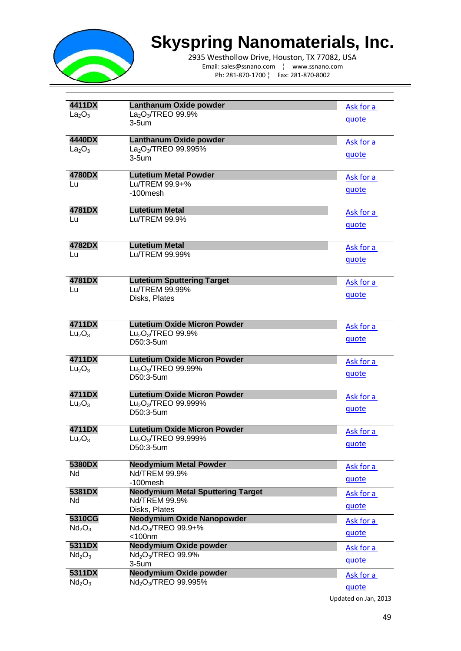

2935 Westhollow Drive, Houston, TX 77082, USA Email: sales@ssnano.com ¦ www.ssnano.com Ph: 281-870-1700 ¦ Fax: 281-870-8002

| 4411DX                         | Lanthanum Oxide powder                                    | Ask for a |
|--------------------------------|-----------------------------------------------------------|-----------|
| La <sub>2</sub> O <sub>3</sub> | $La2O3/TREO$ 99.9%                                        | quote     |
|                                | 3-5um                                                     |           |
| 4440DX                         | Lanthanum Oxide powder                                    | Ask for a |
| La <sub>2</sub> O <sub>3</sub> | La <sub>2</sub> O <sub>3</sub> /TREO 99.995%              | quote     |
|                                | $3-5$ um                                                  |           |
| 4780DX                         | <b>Lutetium Metal Powder</b>                              | Ask for a |
| Lu                             | Lu/TREM 99.9+%                                            | quote     |
|                                | $-100$ mesh                                               |           |
| 4781DX                         | <b>Lutetium Metal</b>                                     | Ask for a |
| Lu                             | Lu/TREM 99.9%                                             |           |
|                                |                                                           | quote     |
| 4782DX                         | <b>Lutetium Metal</b>                                     | Ask for a |
| Lu                             | Lu/TREM 99.99%                                            |           |
|                                |                                                           | quote     |
| 4781DX                         | <b>Lutetium Sputtering Target</b>                         | Ask for a |
| Lu                             | Lu/TREM 99.99%                                            |           |
|                                | Disks, Plates                                             | quote     |
|                                |                                                           |           |
| 4711DX                         | <b>Lutetium Oxide Micron Powder</b>                       | Ask for a |
| Lu <sub>2</sub> O <sub>3</sub> | $Lu2O3/TREO$ 99.9%                                        |           |
|                                | D50:3-5um                                                 | quote     |
| 4711DX                         | <b>Lutetium Oxide Micron Powder</b>                       | Ask for a |
| Lu <sub>2</sub> O <sub>3</sub> | Lu <sub>2</sub> O <sub>3</sub> /TREO 99.99%               |           |
|                                | D50:3-5um                                                 | quote     |
| 4711DX                         | <b>Lutetium Oxide Micron Powder</b>                       | Ask for a |
| Lu <sub>2</sub> O <sub>3</sub> | $Lu_2O_3$ /TREO 99.999%                                   |           |
|                                | D50:3-5um                                                 | quote     |
| 4711DX                         | <b>Lutetium Oxide Micron Powder</b>                       | Ask for a |
| Lu <sub>2</sub> O <sub>3</sub> | Lu <sub>2</sub> O <sub>3</sub> /TREO 99.999%              |           |
|                                | D50:3-5um                                                 | quote     |
| 5380DX                         | <b>Neodymium Metal Powder</b>                             | Ask for a |
| Nd                             | Nd/TREM 99.9%                                             |           |
|                                | -100mesh                                                  | quote     |
| 5381DX                         | <b>Neodymium Metal Sputtering Target</b><br>Nd/TREM 99.9% | Ask for a |
| Nd                             | Disks, Plates                                             | quote     |
| 5310CG                         | <b>Neodymium Oxide Nanopowder</b>                         | Ask for a |
| Nd <sub>2</sub> O <sub>3</sub> | Nd <sub>2</sub> O <sub>3</sub> /TREO 99.9+%               |           |
|                                | $<$ 100 $nm$                                              | quote     |
| 5311DX                         | Neodymium Oxide powder                                    | Ask for a |
| Nd <sub>2</sub> O <sub>3</sub> | Nd <sub>2</sub> O <sub>3</sub> /TREO 99.9%<br>$3-5$ um    | quote     |
| 5311DX                         | <b>Neodymium Oxide powder</b>                             | Ask for a |
| Nd <sub>2</sub> O <sub>3</sub> | Nd <sub>2</sub> O <sub>3</sub> /TREO 99.995%              |           |
|                                |                                                           | quote     |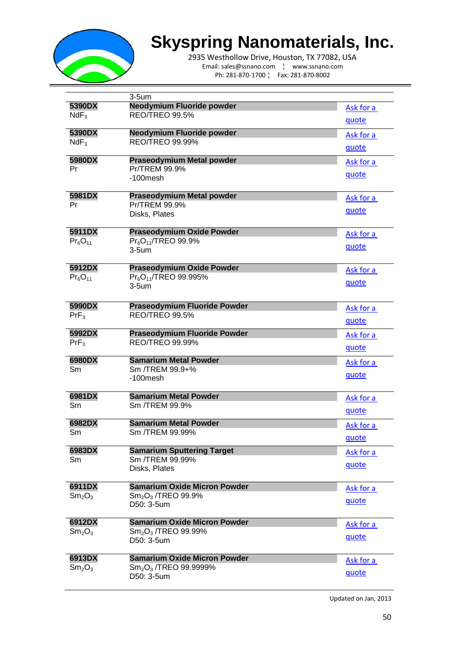

2935 Westhollow Drive, Houston, TX 77082, USA Email: sales@ssnano.com ¦ www.ssnano.com Ph: 281-870-1700 ¦ Fax: 281-870-8002

|                                | $3-5$ um                                          |           |
|--------------------------------|---------------------------------------------------|-----------|
| 5390DX                         | Neodymium Fluoride powder                         | Ask for a |
| $NdF_3$                        | REO/TREO 99.5%                                    |           |
|                                |                                                   | quote     |
| 5390DX                         | Neodymium Fluoride powder                         | Ask for a |
| $NdF_3$                        | <b>REO/TREO 99.99%</b>                            | quote     |
| 5980DX                         |                                                   |           |
| Pr                             | <b>Praseodymium Metal powder</b><br>Pr/TREM 99.9% | Ask for a |
|                                | $-100$ mesh                                       | quote     |
|                                |                                                   |           |
| 5981DX                         | <b>Praseodymium Metal powder</b>                  | Ask for a |
| Pr                             | Pr/TREM 99.9%                                     |           |
|                                | Disks, Plates                                     | quote     |
| 5911DX                         | <b>Praseodymium Oxide Powder</b>                  | Ask for a |
| $Pr_6O_{11}$                   | $Pr_6O_{11}$ /TREO 99.9%                          | quote     |
|                                | $3-5$ um                                          |           |
| 5912DX                         | <b>Praseodymium Oxide Powder</b>                  | Ask for a |
| $Pr_6O_{11}$                   | Pr <sub>6</sub> O <sub>11</sub> /TREO 99.995%     | quote     |
|                                | $3-5$ um                                          |           |
| 5990DX                         | <b>Praseodymium Fluoride Powder</b>               | Ask for a |
| $PrF_3$                        | <b>REO/TREO 99.5%</b>                             |           |
|                                |                                                   | quote     |
| 5992DX                         | <b>Praseodymium Fluoride Powder</b>               | Ask for a |
| $PrF_3$                        | <b>REO/TREO 99.99%</b>                            | quote     |
|                                | <b>Samarium Metal Powder</b>                      |           |
| 6980DX<br>Sm                   | Sm /TREM 99.9+%                                   | Ask for a |
|                                | -100mesh                                          | quote     |
|                                |                                                   |           |
| 6981DX                         | <b>Samarium Metal Powder</b>                      | Ask for a |
| Sm                             | Sm /TREM 99.9%                                    | quote     |
|                                |                                                   |           |
| 6982DX                         | <b>Samarium Metal Powder</b><br>Sm /TREM 99.99%   | Ask for a |
| Sm                             |                                                   | quote     |
| 6983DX                         | <b>Samarium Sputtering Target</b>                 | Ask for a |
| Sm                             | Sm /TREM 99.99%                                   | quote     |
|                                | Disks, Plates                                     |           |
| 6911DX                         | <b>Samarium Oxide Micron Powder</b>               | Ask for a |
| Sm <sub>2</sub> O <sub>3</sub> | $Sm_2O_3$ /TREO 99.9%                             | quote     |
|                                | D50: 3-5um                                        |           |
| 6912DX                         | <b>Samarium Oxide Micron Powder</b>               | Ask for a |
| Sm <sub>2</sub> O <sub>3</sub> | Sm <sub>2</sub> O <sub>3</sub> /TREO 99.99%       | quote     |
|                                | D50: 3-5um                                        |           |
| 6913DX                         | <b>Samarium Oxide Micron Powder</b>               | Ask for a |
| Sm <sub>2</sub> O <sub>3</sub> | Sm <sub>2</sub> O <sub>3</sub> /TREO 99.9999%     |           |
|                                | D50: 3-5um                                        | quote     |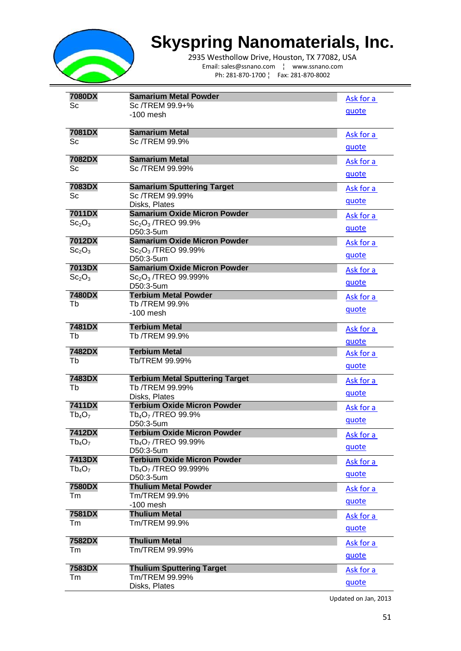

2935 Westhollow Drive, Houston, TX 77082, USA Email: sales@ssnano.com ¦ www.ssnano.com Ph: 281-870-1700 ¦ Fax: 281-870-8002

| 7080DX                                   | <b>Samarium Metal Powder</b>                                                      |           |
|------------------------------------------|-----------------------------------------------------------------------------------|-----------|
| Sc                                       | Sc /TREM 99.9+%                                                                   | Ask for a |
|                                          | $-100$ mesh                                                                       | quote     |
|                                          |                                                                                   |           |
| 7081DX                                   | <b>Samarium Metal</b>                                                             | Ask for a |
| Sc                                       | Sc /TREM 99.9%                                                                    |           |
|                                          |                                                                                   | quote     |
| 7082DX                                   | <b>Samarium Metal</b>                                                             | Ask for a |
| Sc                                       | Sc /TREM 99.99%                                                                   | quote     |
| 7083DX                                   | <b>Samarium Sputtering Target</b>                                                 |           |
| Sc                                       | Sc /TREM 99.99%                                                                   | Ask for a |
|                                          | Disks, Plates                                                                     | quote     |
| 7011DX                                   | <b>Samarium Oxide Micron Powder</b>                                               | Ask for a |
| Sc <sub>2</sub> O <sub>3</sub>           | $Sc2O3$ /TREO 99.9%                                                               |           |
|                                          | D50:3-5um                                                                         | quote     |
| 7012DX                                   | <b>Samarium Oxide Micron Powder</b>                                               | Ask for a |
| Sc <sub>2</sub> O <sub>3</sub>           | $Sc_2O_3$ /TREO 99.99%                                                            | quote     |
|                                          | D50:3-5um<br><b>Samarium Oxide Micron Powder</b>                                  |           |
| 7013DX<br>Sc <sub>2</sub> O <sub>3</sub> | $Sc_2O_3$ /TREO 99.999%                                                           | Ask for a |
|                                          | D50:3-5um                                                                         | quote     |
| 7480DX                                   | <b>Terbium Metal Powder</b>                                                       | Ask for a |
| Tb                                       | Tb /TREM 99.9%                                                                    |           |
|                                          | $-100$ mesh                                                                       | quote     |
| 7481DX                                   | <b>Terbium Metal</b>                                                              | Ask for a |
| Tb                                       | Tb /TREM 99.9%                                                                    |           |
|                                          |                                                                                   | quote     |
| 7482DX                                   | <b>Terbium Metal</b>                                                              | Ask for a |
| Tb                                       | Tb/TREM 99.99%                                                                    | quote     |
| 7483DX                                   | <b>Terbium Metal Sputtering Target</b>                                            | Ask for a |
| Tb                                       | Tb /TREM 99.99%                                                                   |           |
|                                          | Disks, Plates                                                                     | quote     |
| <b>7411DX</b>                            | <b>Terbium Oxide Micron Powder</b>                                                | Ask for a |
| $Tb_4O_7$                                | Tb <sub>4</sub> O <sub>7</sub> /TREO 99.9%                                        | quote     |
|                                          | D50:3-5um                                                                         |           |
| 7412DX<br>$Tb_4O_7$                      | <b>Terbium Oxide Micron Powder</b><br>Tb <sub>4</sub> O <sub>7</sub> /TREO 99.99% | Ask for a |
|                                          | D50:3-5um                                                                         | quote     |
| 7413DX                                   | <b>Terbium Oxide Micron Powder</b>                                                | Ask for a |
| $Tb_4O_7$                                | Tb <sub>4</sub> O <sub>7</sub> /TREO 99.999%                                      |           |
|                                          | D50:3-5um                                                                         | quote     |
| 7580DX                                   | <b>Thulium Metal Powder</b>                                                       | Ask for a |
| Tm                                       | Tm/TREM 99.9%                                                                     | quote     |
| 7581DX                                   | $-100$ mesh<br><b>Thulium Metal</b>                                               |           |
| Tm                                       | Tm/TREM 99.9%                                                                     | Ask for a |
|                                          |                                                                                   | quote     |
| 7582DX                                   | <b>Thulium Metal</b>                                                              | Ask for a |
| Tm                                       | Tm/TREM 99.99%                                                                    |           |
|                                          |                                                                                   | quote     |
| 7583DX                                   | <b>Thulium Sputtering Target</b>                                                  | Ask for a |
| Tm                                       | Tm/TREM 99.99%                                                                    | quote     |
|                                          | Disks, Plates                                                                     |           |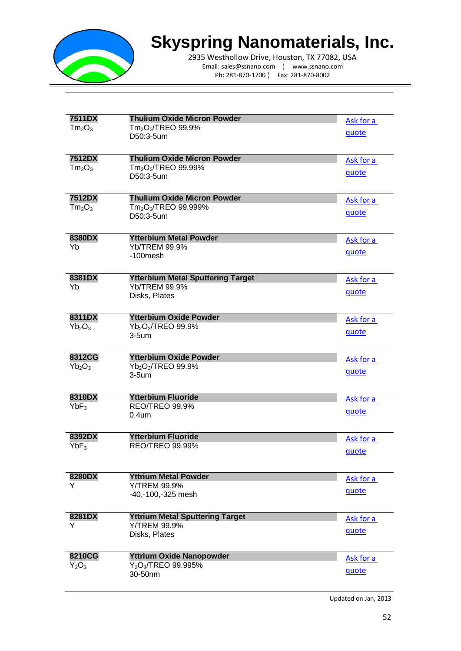

2935 Westhollow Drive, Houston, TX 77082, USA Email: sales@ssnano.com ¦ www.ssnano.com Ph: 281-870-1700 ¦ Fax: 281-870-8002

| <b>7511DX</b>                  | <b>Thulium Oxide Micron Powder</b>           | Ask for a |
|--------------------------------|----------------------------------------------|-----------|
| Tm <sub>2</sub> O <sub>3</sub> | Tm <sub>2</sub> O <sub>3</sub> /TREO 99.9%   |           |
|                                | D50:3-5um                                    | quote     |
|                                |                                              |           |
| <b>7512DX</b>                  | <b>Thulium Oxide Micron Powder</b>           | Ask for a |
| Tm <sub>2</sub> O <sub>3</sub> | $Tm2O3/TREO$ 99.99%                          | quote     |
|                                | D50:3-5um                                    |           |
| <b>7512DX</b>                  | <b>Thulium Oxide Micron Powder</b>           | Ask for a |
| Tm <sub>2</sub> O <sub>3</sub> | Tm <sub>2</sub> O <sub>3</sub> /TREO 99.999% | quote     |
|                                | D50:3-5um                                    |           |
| 8380DX                         | <b>Ytterbium Metal Powder</b>                | Ask for a |
| Yb                             | Yb/TREM 99.9%                                | quote     |
|                                | $-100$ mesh                                  |           |
| 8381DX                         | <b>Ytterbium Metal Sputtering Target</b>     | Ask for a |
| Yb                             | Yb/TREM 99.9%                                | quote     |
|                                | Disks, Plates                                |           |
| 8311DX                         | <b>Ytterbium Oxide Powder</b>                | Ask for a |
| $Yb_2O_3$                      | Yb <sub>2</sub> O <sub>3</sub> /TREO 99.9%   | quote     |
|                                | $3-5$ um                                     |           |
| 8312CG                         | <b>Ytterbium Oxide Powder</b>                | Ask for a |
| $Yb_2O_3$                      | Yb <sub>2</sub> O <sub>3</sub> /TREO 99.9%   | quote     |
|                                | $3-5$ um                                     |           |
| 8310DX                         | <b>Ytterbium Fluoride</b>                    | Ask for a |
| $YbF_3$                        | REO/TREO 99.9%                               | quote     |
|                                | 0.4 <sub>um</sub>                            |           |
| 8392DX                         | <b>Ytterbium Fluoride</b>                    | Ask for a |
| $YbF_3$                        | <b>REO/TREO 99.99%</b>                       | quote     |
|                                |                                              |           |
| 8280DX                         | <b>Yttrium Metal Powder</b>                  | Ask for a |
| Y                              | <b>Y/TREM 99.9%</b>                          | quote     |
|                                | -40,-100,-325 mesh                           |           |
| 8281DX                         | <b>Yttrium Metal Sputtering Target</b>       | Ask for a |
| Y                              | Y/TREM 99.9%                                 | quote     |
|                                | Disks, Plates                                |           |
| 8210CG                         | <b>Yttrium Oxide Nanopowder</b>              | Ask for a |
| $Y_2O_3$                       | $Y_2O_3$ /TREO 99.995%                       | quote     |
|                                | 30-50nm                                      |           |